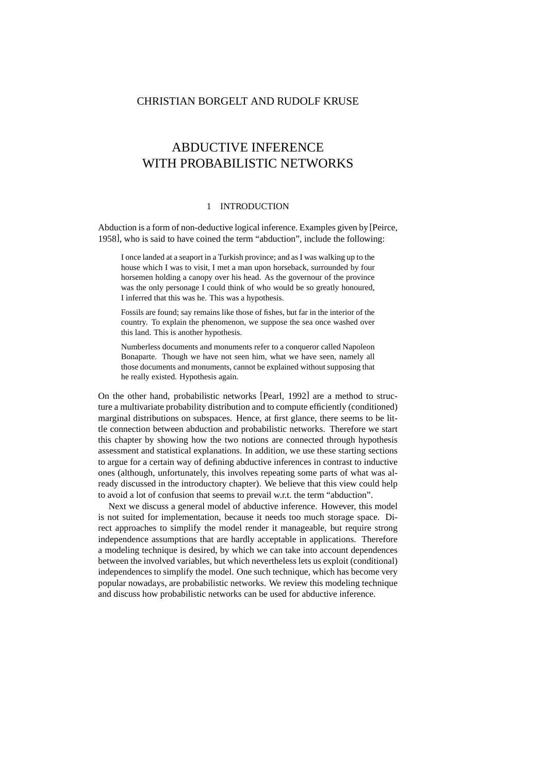# CHRISTIAN BORGELT AND RUDOLF KRUSE

# ABDUCTIVE INFERENCE WITH PROBABILISTIC NETWORKS

## 1 INTRODUCTION

Abduction is a form of non-deductive logical inference. Examples given by [Peirce, 1958], who is said to have coined the term "abduction", include the following:

I once landed at a seaport in a Turkish province; and as I was walking up to the house which I was to visit, I met a man upon horseback, surrounded by four horsemen holding a canopy over his head. As the governour of the province was the only personage I could think of who would be so greatly honoured, I inferred that this was he. This was a hypothesis.

Fossils are found; say remains like those of fishes, but far in the interior of the country. To explain the phenomenon, we suppose the sea once washed over this land. This is another hypothesis.

Numberless documents and monuments refer to a conqueror called Napoleon Bonaparte. Though we have not seen him, what we have seen, namely all those documents and monuments, cannot be explained without supposing that he really existed. Hypothesis again.

On the other hand, probabilistic networks [Pearl, 1992] are a method to structure a multivariate probability distribution and to compute efficiently (conditioned) marginal distributions on subspaces. Hence, at first glance, there seems to be little connection between abduction and probabilistic networks. Therefore we start this chapter by showing how the two notions are connected through hypothesis assessment and statistical explanations. In addition, we use these starting sections to argue for a certain way of defining abductive inferences in contrast to inductive ones (although, unfortunately, this involves repeating some parts of what was already discussed in the introductory chapter). We believe that this view could help to avoid a lot of confusion that seems to prevail w.r.t. the term "abduction".

Next we discuss a general model of abductive inference. However, this model is not suited for implementation, because it needs too much storage space. Direct approaches to simplify the model render it manageable, but require strong independence assumptions that are hardly acceptable in applications. Therefore a modeling technique is desired, by which we can take into account dependences between the involved variables, but which nevertheless lets us exploit (conditional) independences to simplify the model. One such technique, which has become very popular nowadays, are probabilistic networks. We review this modeling technique and discuss how probabilistic networks can be used for abductive inference.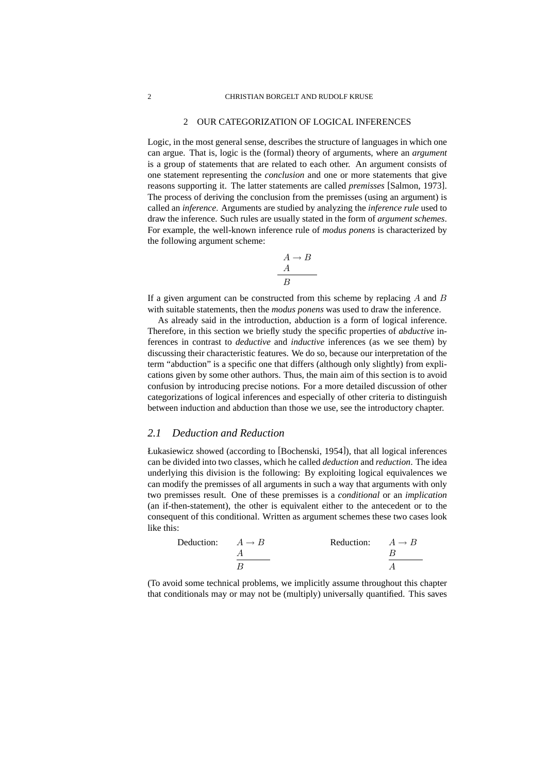#### 2 OUR CATEGORIZATION OF LOGICAL INFERENCES

Logic, in the most general sense, describes the structure of languages in which one can argue. That is, logic is the (formal) theory of arguments, where an *argument* is a group of statements that are related to each other. An argument consists of one statement representing the *conclusion* and one or more statements that give reasons supporting it. The latter statements are called *premisses* [Salmon, 1973]. The process of deriving the conclusion from the premisses (using an argument) is called an *inference*. Arguments are studied by analyzing the *inference rule* used to draw the inference. Such rules are usually stated in the form of *argument schemes*. For example, the well-known inference rule of *modus ponens* is characterized by the following argument scheme:

$$
\begin{array}{c}\nA \rightarrow B \\
\hline\nA \\
\hline\nB\n\end{array}
$$

If a given argument can be constructed from this scheme by replacing  $A$  and  $B$ with suitable statements, then the *modus ponens* was used to draw the inference.

As already said in the introduction, abduction is a form of logical inference. Therefore, in this section we briefly study the specific properties of *abductive* inferences in contrast to *deductive* and *inductive* inferences (as we see them) by discussing their characteristic features. We do so, because our interpretation of the term "abduction" is a specific one that differs (although only slightly) from explications given by some other authors. Thus, the main aim of this section is to avoid confusion by introducing precise notions. For a more detailed discussion of other categorizations of logical inferences and especially of other criteria to distinguish between induction and abduction than those we use, see the introductory chapter.

### *2.1 Deduction and Reduction*

Łukasiewicz showed (according to [Bochenski, 1954]), that all logical inferences can be divided into two classes, which he called *deduction* and *reduction*. The idea underlying this division is the following: By exploiting logical equivalences we can modify the premisses of all arguments in such a way that arguments with only two premisses result. One of these premisses is a *conditional* or an *implication* (an if-then-statement), the other is equivalent either to the antecedent or to the consequent of this conditional. Written as argument schemes these two cases look like this:

Deduction:

\n
$$
A \rightarrow B
$$
\nReduction:

\n
$$
A \rightarrow B
$$
\n
$$
\frac{B}{A}
$$

(To avoid some technical problems, we implicitly assume throughout this chapter that conditionals may or may not be (multiply) universally quantified. This saves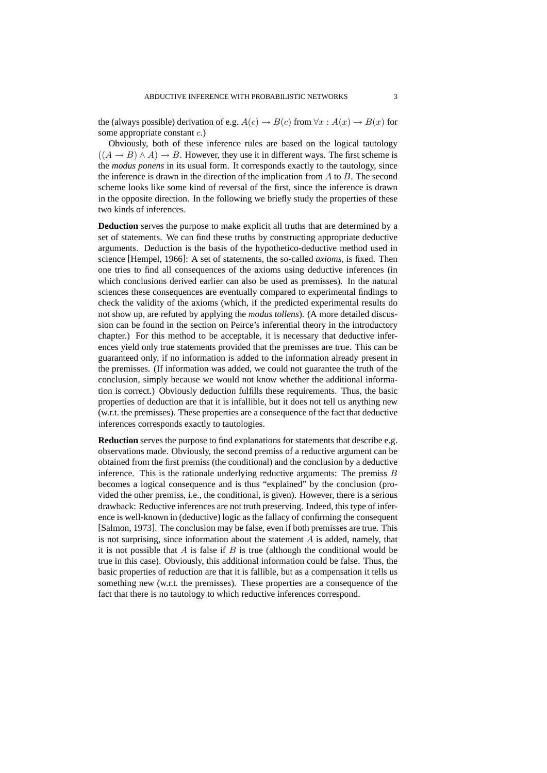the (always possible) derivation of e.g.  $A(c) \rightarrow B(c)$  from  $\forall x : A(x) \rightarrow B(x)$  for some appropriate constant c.)

Obviously, both of these inference rules are based on the logical tautology  $((A \rightarrow B) \land A) \rightarrow B$ . However, they use it in different ways. The first scheme is the *modus ponens* in its usual form. It corresponds exactly to the tautology, since the inference is drawn in the direction of the implication from  $A$  to  $B$ . The second scheme looks like some kind of reversal of the first, since the inference is drawn in the opposite direction. In the following we briefly study the properties of these two kinds of inferences.

**Deduction** serves the purpose to make explicit all truths that are determined by a set of statements. We can find these truths by constructing appropriate deductive arguments. Deduction is the basis of the hypothetico-deductive method used in science [Hempel, 1966]: A set of statements, the so-called *axioms*, is fixed. Then one tries to find all consequences of the axioms using deductive inferences (in which conclusions derived earlier can also be used as premisses). In the natural sciences these consequences are eventually compared to experimental findings to check the validity of the axioms (which, if the predicted experimental results do not show up, are refuted by applying the *modus tollens*). (A more detailed discussion can be found in the section on Peirce's inferential theory in the introductory chapter.) For this method to be acceptable, it is necessary that deductive inferences yield only true statements provided that the premisses are true. This can be guaranteed only, if no information is added to the information already present in the premisses. (If information was added, we could not guarantee the truth of the conclusion, simply because we would not know whether the additional information is correct.) Obviously deduction fulfills these requirements. Thus, the basic properties of deduction are that it is infallible, but it does not tell us anything new (w.r.t. the premisses). These properties are a consequence of the fact that deductive inferences corresponds exactly to tautologies.

**Reduction** serves the purpose to find explanations for statements that describe e.g. observations made. Obviously, the second premiss of a reductive argument can be obtained from the first premiss (the conditional) and the conclusion by a deductive inference. This is the rationale underlying reductive arguments: The premiss B becomes a logical consequence and is thus "explained" by the conclusion (provided the other premiss, i.e., the conditional, is given). However, there is a serious drawback: Reductive inferences are not truth preserving. Indeed, this type of inference is well-known in (deductive) logic as the fallacy of confirming the consequent [Salmon, 1973]. The conclusion may be false, even if both premisses are true. This is not surprising, since information about the statement  $A$  is added, namely, that it is not possible that  $A$  is false if  $B$  is true (although the conditional would be true in this case). Obviously, this additional information could be false. Thus, the basic properties of reduction are that it is fallible, but as a compensation it tells us something new (w.r.t. the premisses). These properties are a consequence of the fact that there is no tautology to which reductive inferences correspond.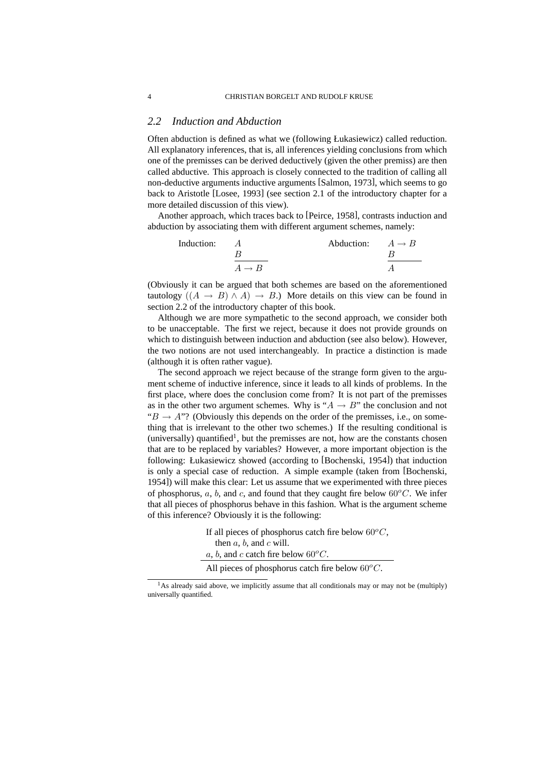## *2.2 Induction and Abduction*

Often abduction is defined as what we (following Łukasiewicz) called reduction. All explanatory inferences, that is, all inferences yielding conclusions from which one of the premisses can be derived deductively (given the other premiss) are then called abductive. This approach is closely connected to the tradition of calling all non-deductive arguments inductive arguments [Salmon, 1973], which seems to go back to Aristotle [Losee, 1993] (see section 2.1 of the introductory chapter for a more detailed discussion of this view).

Another approach, which traces back to [Peirce, 1958], contrasts induction and abduction by associating them with different argument schemes, namely:

| Induction: |                   | Abduction: $A \rightarrow B$ |  |
|------------|-------------------|------------------------------|--|
|            |                   |                              |  |
|            | $A \rightarrow B$ |                              |  |

(Obviously it can be argued that both schemes are based on the aforementioned tautology  $((A \rightarrow B) \land A) \rightarrow B$ .) More details on this view can be found in section 2.2 of the introductory chapter of this book.

Although we are more sympathetic to the second approach, we consider both to be unacceptable. The first we reject, because it does not provide grounds on which to distinguish between induction and abduction (see also below). However, the two notions are not used interchangeably. In practice a distinction is made (although it is often rather vague).

The second approach we reject because of the strange form given to the argument scheme of inductive inference, since it leads to all kinds of problems. In the first place, where does the conclusion come from? It is not part of the premisses as in the other two argument schemes. Why is " $A \rightarrow B$ " the conclusion and not " $B \rightarrow A$ "? (Obviously this depends on the order of the premisses, i.e., on something that is irrelevant to the other two schemes.) If the resulting conditional is  $(university)$  quantified<sup>1</sup>, but the premisses are not, how are the constants chosen that are to be replaced by variables? However, a more important objection is the following: Łukasiewicz showed (according to [Bochenski, 1954]) that induction is only a special case of reduction. A simple example (taken from [Bochenski, 1954]) will make this clear: Let us assume that we experimented with three pieces of phosphorus,  $a$ ,  $b$ , and  $c$ , and found that they caught fire below 60 $^{\circ}C$ . We infer that all pieces of phosphorus behave in this fashion. What is the argument scheme of this inference? Obviously it is the following:

> If all pieces of phosphorus catch fire below  $60^{\circ}$ C, then  $a, b$ , and  $c$  will. a, b, and c catch fire below  $60^{\circ}C$ .

All pieces of phosphorus catch fire below  $60^{\circ}$ C.

<sup>&</sup>lt;sup>1</sup>As already said above, we implicitly assume that all conditionals may or may not be (multiply) universally quantified.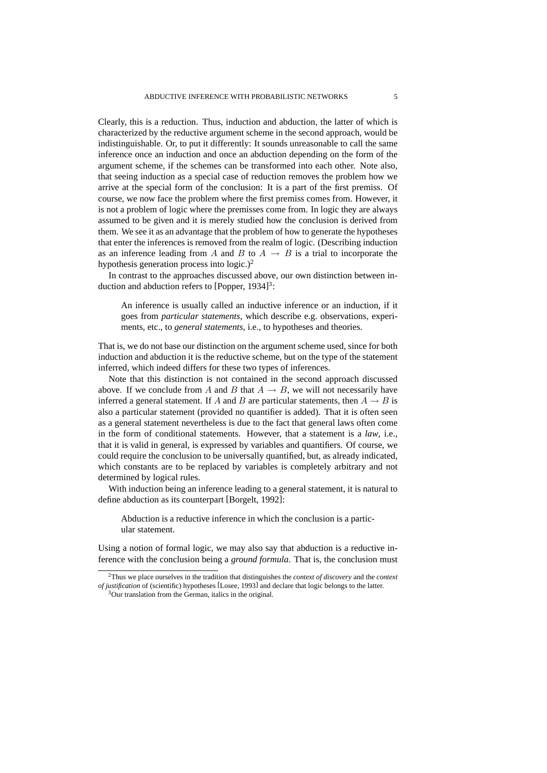Clearly, this is a reduction. Thus, induction and abduction, the latter of which is characterized by the reductive argument scheme in the second approach, would be indistinguishable. Or, to put it differently: It sounds unreasonable to call the same inference once an induction and once an abduction depending on the form of the argument scheme, if the schemes can be transformed into each other. Note also, that seeing induction as a special case of reduction removes the problem how we arrive at the special form of the conclusion: It is a part of the first premiss. Of course, we now face the problem where the first premiss comes from. However, it is not a problem of logic where the premisses come from. In logic they are always assumed to be given and it is merely studied how the conclusion is derived from them. We see it as an advantage that the problem of how to generate the hypotheses that enter the inferences is removed from the realm of logic. (Describing induction as an inference leading from A and B to  $A \rightarrow B$  is a trial to incorporate the hypothesis generation process into  $logic$ .)<sup>2</sup>

In contrast to the approaches discussed above, our own distinction between induction and abduction refers to [Popper, 1934]<sup>3</sup>:

An inference is usually called an inductive inference or an induction, if it goes from *particular statements*, which describe e.g. observations, experiments, etc., to *general statements*, i.e., to hypotheses and theories.

That is, we do not base our distinction on the argument scheme used, since for both induction and abduction it is the reductive scheme, but on the type of the statement inferred, which indeed differs for these two types of inferences.

Note that this distinction is not contained in the second approach discussed above. If we conclude from A and B that  $A \rightarrow B$ , we will not necessarily have inferred a general statement. If A and B are particular statements, then  $A \rightarrow B$  is also a particular statement (provided no quantifier is added). That it is often seen as a general statement nevertheless is due to the fact that general laws often come in the form of conditional statements. However, that a statement is a *law*, i.e., that it is valid in general, is expressed by variables and quantifiers. Of course, we could require the conclusion to be universally quantified, but, as already indicated, which constants are to be replaced by variables is completely arbitrary and not determined by logical rules.

With induction being an inference leading to a general statement, it is natural to define abduction as its counterpart [Borgelt, 1992]:

Abduction is a reductive inference in which the conclusion is a particular statement.

Using a notion of formal logic, we may also say that abduction is a reductive inference with the conclusion being a *ground formula*. That is, the conclusion must

<sup>2</sup>Thus we place ourselves in the tradition that distinguishes the *context of discovery* and the *context of justification* of (scientific) hypotheses [Losee, 1993] and declare that logic belongs to the latter.

<sup>3</sup>Our translation from the German, italics in the original.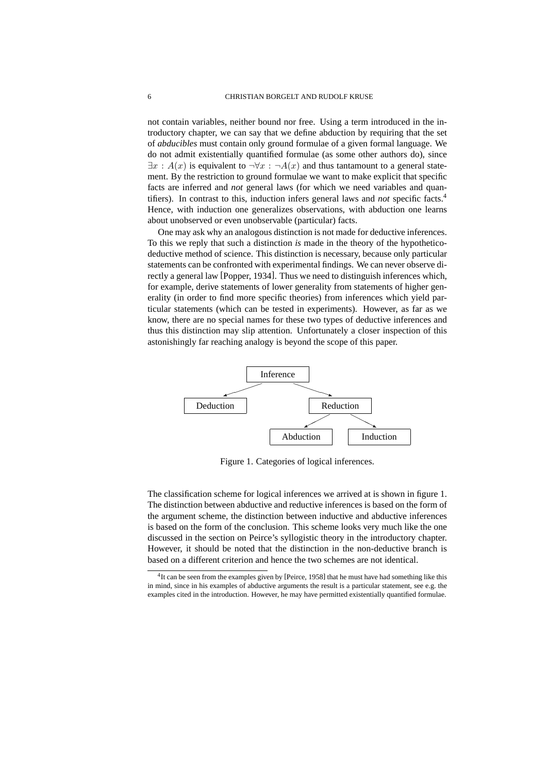not contain variables, neither bound nor free. Using a term introduced in the introductory chapter, we can say that we define abduction by requiring that the set of *abducibles* must contain only ground formulae of a given formal language. We do not admit existentially quantified formulae (as some other authors do), since  $\exists x : A(x)$  is equivalent to  $\neg \forall x : \neg A(x)$  and thus tantamount to a general statement. By the restriction to ground formulae we want to make explicit that specific facts are inferred and *not* general laws (for which we need variables and quantifiers). In contrast to this, induction infers general laws and *not* specific facts.<sup>4</sup> Hence, with induction one generalizes observations, with abduction one learns about unobserved or even unobservable (particular) facts.

One may ask why an analogous distinction is not made for deductive inferences. To this we reply that such a distinction *is* made in the theory of the hypotheticodeductive method of science. This distinction is necessary, because only particular statements can be confronted with experimental findings. We can never observe directly a general law [Popper, 1934]. Thus we need to distinguish inferences which, for example, derive statements of lower generality from statements of higher generality (in order to find more specific theories) from inferences which yield particular statements (which can be tested in experiments). However, as far as we know, there are no special names for these two types of deductive inferences and thus this distinction may slip attention. Unfortunately a closer inspection of this astonishingly far reaching analogy is beyond the scope of this paper.



Figure 1. Categories of logical inferences.

The classification scheme for logical inferences we arrived at is shown in figure 1. The distinction between abductive and reductive inferences is based on the form of the argument scheme, the distinction between inductive and abductive inferences is based on the form of the conclusion. This scheme looks very much like the one discussed in the section on Peirce's syllogistic theory in the introductory chapter. However, it should be noted that the distinction in the non-deductive branch is based on a different criterion and hence the two schemes are not identical.

<sup>&</sup>lt;sup>4</sup>It can be seen from the examples given by [Peirce, 1958] that he must have had something like this in mind, since in his examples of abductive arguments the result is a particular statement, see e.g. the examples cited in the introduction. However, he may have permitted existentially quantified formulae.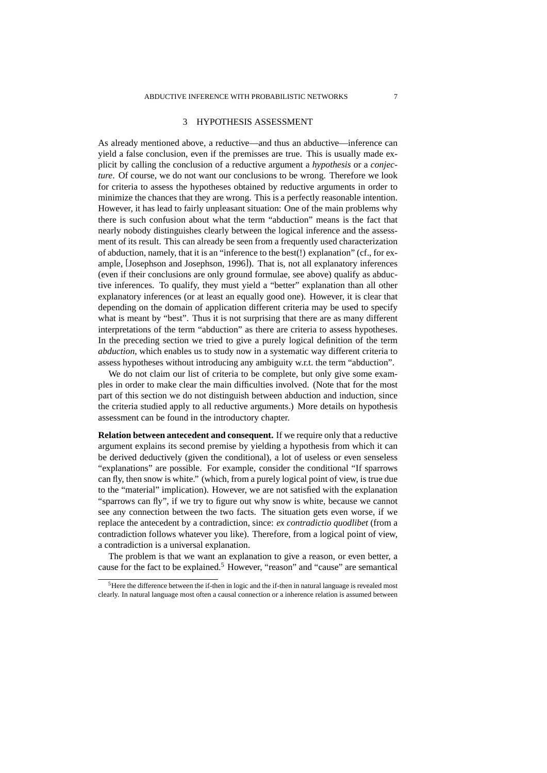#### 3 HYPOTHESIS ASSESSMENT

As already mentioned above, a reductive—and thus an abductive—inference can yield a false conclusion, even if the premisses are true. This is usually made explicit by calling the conclusion of a reductive argument a *hypothesis* or a *conjecture*. Of course, we do not want our conclusions to be wrong. Therefore we look for criteria to assess the hypotheses obtained by reductive arguments in order to minimize the chances that they are wrong. This is a perfectly reasonable intention. However, it has lead to fairly unpleasant situation: One of the main problems why there is such confusion about what the term "abduction" means is the fact that nearly nobody distinguishes clearly between the logical inference and the assessment of its result. This can already be seen from a frequently used characterization of abduction, namely, that it is an "inference to the best(!) explanation" (cf., for example, [Josephson and Josephson, 1996]). That is, not all explanatory inferences (even if their conclusions are only ground formulae, see above) qualify as abductive inferences. To qualify, they must yield a "better" explanation than all other explanatory inferences (or at least an equally good one). However, it is clear that depending on the domain of application different criteria may be used to specify what is meant by "best". Thus it is not surprising that there are as many different interpretations of the term "abduction" as there are criteria to assess hypotheses. In the preceding section we tried to give a purely logical definition of the term *abduction*, which enables us to study now in a systematic way different criteria to assess hypotheses without introducing any ambiguity w.r.t. the term "abduction".

We do not claim our list of criteria to be complete, but only give some examples in order to make clear the main difficulties involved. (Note that for the most part of this section we do not distinguish between abduction and induction, since the criteria studied apply to all reductive arguments.) More details on hypothesis assessment can be found in the introductory chapter.

**Relation between antecedent and consequent.** If we require only that a reductive argument explains its second premise by yielding a hypothesis from which it can be derived deductively (given the conditional), a lot of useless or even senseless "explanations" are possible. For example, consider the conditional "If sparrows can fly, then snow is white." (which, from a purely logical point of view, is true due to the "material" implication). However, we are not satisfied with the explanation "sparrows can fly", if we try to figure out why snow is white, because we cannot see any connection between the two facts. The situation gets even worse, if we replace the antecedent by a contradiction, since: *ex contradictio quodlibet* (from a contradiction follows whatever you like). Therefore, from a logical point of view, a contradiction is a universal explanation.

The problem is that we want an explanation to give a reason, or even better, a cause for the fact to be explained.<sup>5</sup> However, "reason" and "cause" are semantical

<sup>&</sup>lt;sup>5</sup>Here the difference between the if-then in logic and the if-then in natural language is revealed most clearly. In natural language most often a causal connection or a inherence relation is assumed between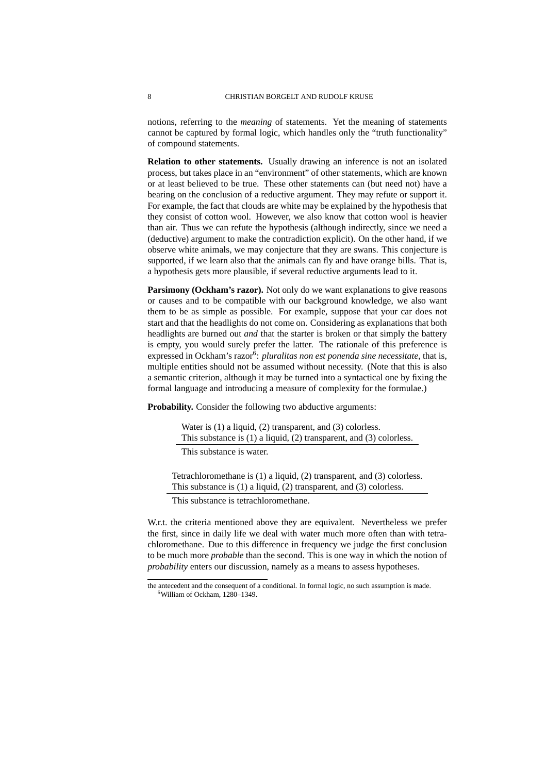notions, referring to the *meaning* of statements. Yet the meaning of statements cannot be captured by formal logic, which handles only the "truth functionality" of compound statements.

**Relation to other statements.** Usually drawing an inference is not an isolated process, but takes place in an "environment" of other statements, which are known or at least believed to be true. These other statements can (but need not) have a bearing on the conclusion of a reductive argument. They may refute or support it. For example, the fact that clouds are white may be explained by the hypothesis that they consist of cotton wool. However, we also know that cotton wool is heavier than air. Thus we can refute the hypothesis (although indirectly, since we need a (deductive) argument to make the contradiction explicit). On the other hand, if we observe white animals, we may conjecture that they are swans. This conjecture is supported, if we learn also that the animals can fly and have orange bills. That is, a hypothesis gets more plausible, if several reductive arguments lead to it.

**Parsimony (Ockham's razor).** Not only do we want explanations to give reasons or causes and to be compatible with our background knowledge, we also want them to be as simple as possible. For example, suppose that your car does not start and that the headlights do not come on. Considering as explanations that both headlights are burned out *and* that the starter is broken or that simply the battery is empty, you would surely prefer the latter. The rationale of this preference is expressed in Ockham's razor<sup>6</sup>: *pluralitas non est ponenda sine necessitate*, that is, multiple entities should not be assumed without necessity. (Note that this is also a semantic criterion, although it may be turned into a syntactical one by fixing the formal language and introducing a measure of complexity for the formulae.)

**Probability.** Consider the following two abductive arguments:

Water is (1) a liquid, (2) transparent, and (3) colorless. This substance is (1) a liquid, (2) transparent, and (3) colorless.

This substance is water.

Tetrachloromethane is (1) a liquid, (2) transparent, and (3) colorless. This substance is (1) a liquid, (2) transparent, and (3) colorless.

This substance is tetrachloromethane.

W.r.t. the criteria mentioned above they are equivalent. Nevertheless we prefer the first, since in daily life we deal with water much more often than with tetrachloromethane. Due to this difference in frequency we judge the first conclusion to be much more *probable* than the second. This is one way in which the notion of *probability* enters our discussion, namely as a means to assess hypotheses.

the antecedent and the consequent of a conditional. In formal logic, no such assumption is made. <sup>6</sup>William of Ockham, 1280–1349.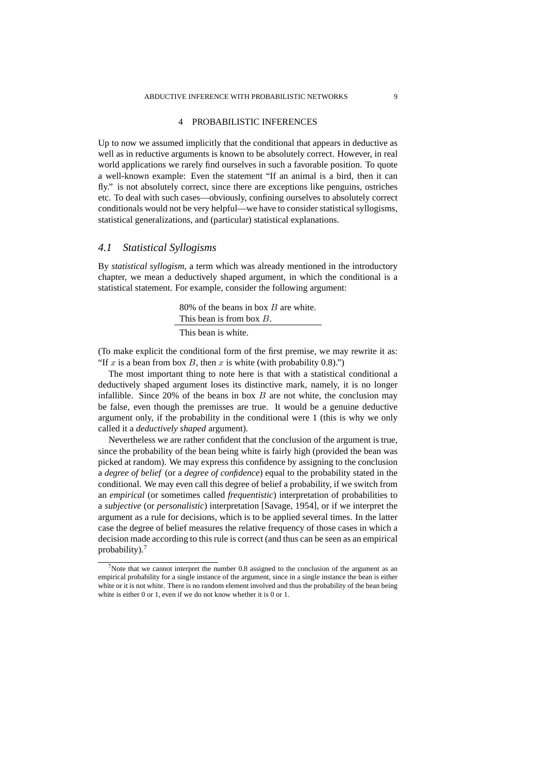## PROBABILISTIC INFERENCES

Up to now we assumed implicitly that the conditional that appears in deductive as well as in reductive arguments is known to be absolutely correct. However, in real world applications we rarely find ourselves in such a favorable position. To quote a well-known example: Even the statement "If an animal is a bird, then it can fly." is not absolutely correct, since there are exceptions like penguins, ostriches etc. To deal with such cases—obviously, confining ourselves to absolutely correct conditionals would not be very helpful—we have to consider statistical syllogisms, statistical generalizations, and (particular) statistical explanations.

# *4.1 Statistical Syllogisms*

By *statistical syllogism*, a term which was already mentioned in the introductory chapter, we mean a deductively shaped argument, in which the conditional is a statistical statement. For example, consider the following argument:

> 80% of the beans in box  $B$  are white. This bean is from box B. This bean is white.

(To make explicit the conditional form of the first premise, we may rewrite it as: "If x is a bean from box B, then x is white (with probability 0.8).")

The most important thing to note here is that with a statistical conditional a deductively shaped argument loses its distinctive mark, namely, it is no longer infallible. Since 20% of the beans in box  $B$  are not white, the conclusion may be false, even though the premisses are true. It would be a genuine deductive argument only, if the probability in the conditional were 1 (this is why we only called it a *deductively shaped* argument).

Nevertheless we are rather confident that the conclusion of the argument is true, since the probability of the bean being white is fairly high (provided the bean was picked at random). We may express this confidence by assigning to the conclusion a *degree of belief* (or a *degree of confidence*) equal to the probability stated in the conditional. We may even call this degree of belief a probability, if we switch from an *empirical* (or sometimes called *frequentistic*) interpretation of probabilities to a *subjective* (or *personalistic*) interpretation [Savage, 1954], or if we interpret the argument as a rule for decisions, which is to be applied several times. In the latter case the degree of belief measures the relative frequency of those cases in which a decision made according to this rule is correct (and thus can be seen as an empirical probability).<sup>7</sup>

<sup>7</sup>Note that we cannot interpret the number 0.8 assigned to the conclusion of the argument as an empirical probability for a single instance of the argument, since in a single instance the bean is either white or it is not white. There is no random element involved and thus the probability of the bean being white is either 0 or 1, even if we do not know whether it is 0 or 1.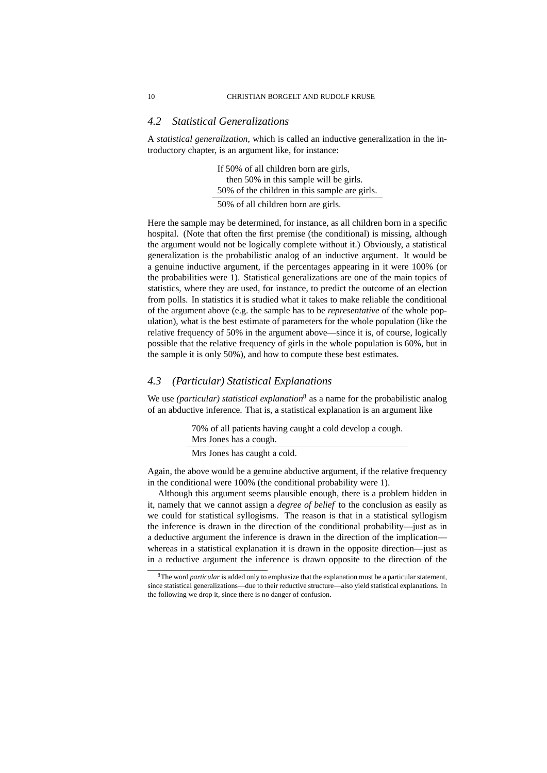## *4.2 Statistical Generalizations*

A *statistical generalization*, which is called an inductive generalization in the introductory chapter, is an argument like, for instance:

> If 50% of all children born are girls, then 50% in this sample will be girls. 50% of the children in this sample are girls. 50% of all children born are girls.

Here the sample may be determined, for instance, as all children born in a specific hospital. (Note that often the first premise (the conditional) is missing, although the argument would not be logically complete without it.) Obviously, a statistical generalization is the probabilistic analog of an inductive argument. It would be a genuine inductive argument, if the percentages appearing in it were 100% (or the probabilities were 1). Statistical generalizations are one of the main topics of statistics, where they are used, for instance, to predict the outcome of an election from polls. In statistics it is studied what it takes to make reliable the conditional of the argument above (e.g. the sample has to be *representative* of the whole population), what is the best estimate of parameters for the whole population (like the relative frequency of 50% in the argument above—since it is, of course, logically possible that the relative frequency of girls in the whole population is 60%, but in the sample it is only 50%), and how to compute these best estimates.

## *4.3 (Particular) Statistical Explanations*

We use *(particular) statistical explanation*<sup>8</sup> as a name for the probabilistic analog of an abductive inference. That is, a statistical explanation is an argument like

> 70% of all patients having caught a cold develop a cough. Mrs Jones has a cough. Mrs Jones has caught a cold.

Again, the above would be a genuine abductive argument, if the relative frequency in the conditional were 100% (the conditional probability were 1).

Although this argument seems plausible enough, there is a problem hidden in it, namely that we cannot assign a *degree of belief* to the conclusion as easily as we could for statistical syllogisms. The reason is that in a statistical syllogism the inference is drawn in the direction of the conditional probability—just as in a deductive argument the inference is drawn in the direction of the implication whereas in a statistical explanation it is drawn in the opposite direction—just as in a reductive argument the inference is drawn opposite to the direction of the

<sup>8</sup>The word *particular* is added only to emphasize that the explanation must be a particular statement, since statistical generalizations—due to their reductive structure—also yield statistical explanations. In the following we drop it, since there is no danger of confusion.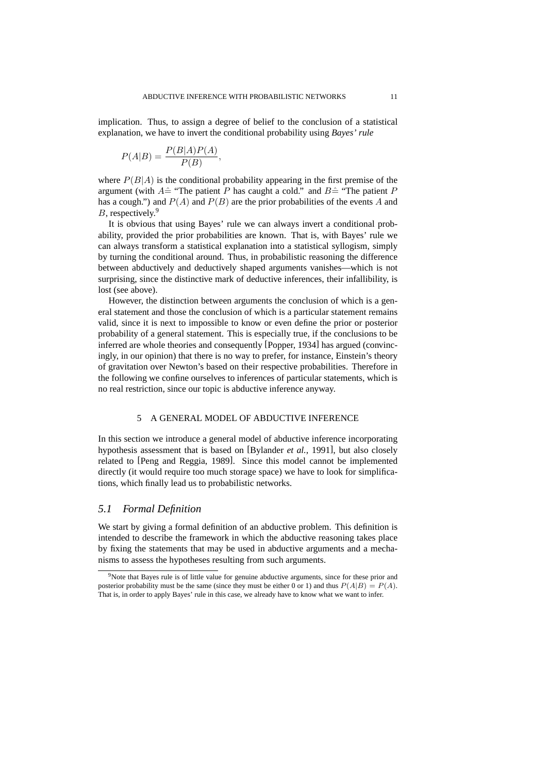implication. Thus, to assign a degree of belief to the conclusion of a statistical explanation, we have to invert the conditional probability using *Bayes' rule*

$$
P(A|B) = \frac{P(B|A)P(A)}{P(B)},
$$

where  $P(B|A)$  is the conditional probability appearing in the first premise of the argument (with  $A \triangleq$  "The patient P has caught a cold." and  $B \triangleq$  "The patient P has a cough.") and  $P(A)$  and  $P(B)$  are the prior probabilities of the events A and  $B$ , respectively.<sup>9</sup>

It is obvious that using Bayes' rule we can always invert a conditional probability, provided the prior probabilities are known. That is, with Bayes' rule we can always transform a statistical explanation into a statistical syllogism, simply by turning the conditional around. Thus, in probabilistic reasoning the difference between abductively and deductively shaped arguments vanishes—which is not surprising, since the distinctive mark of deductive inferences, their infallibility, is lost (see above).

However, the distinction between arguments the conclusion of which is a general statement and those the conclusion of which is a particular statement remains valid, since it is next to impossible to know or even define the prior or posterior probability of a general statement. This is especially true, if the conclusions to be inferred are whole theories and consequently [Popper, 1934] has argued (convincingly, in our opinion) that there is no way to prefer, for instance, Einstein's theory of gravitation over Newton's based on their respective probabilities. Therefore in the following we confine ourselves to inferences of particular statements, which is no real restriction, since our topic is abductive inference anyway.

## 5 A GENERAL MODEL OF ABDUCTIVE INFERENCE

In this section we introduce a general model of abductive inference incorporating hypothesis assessment that is based on [Bylander *et al.*, 1991], but also closely related to [Peng and Reggia, 1989]. Since this model cannot be implemented directly (it would require too much storage space) we have to look for simplifications, which finally lead us to probabilistic networks.

## *5.1 Formal Definition*

We start by giving a formal definition of an abductive problem. This definition is intended to describe the framework in which the abductive reasoning takes place by fixing the statements that may be used in abductive arguments and a mechanisms to assess the hypotheses resulting from such arguments.

<sup>&</sup>lt;sup>9</sup>Note that Bayes rule is of little value for genuine abductive arguments, since for these prior and posterior probability must be the same (since they must be either 0 or 1) and thus  $P(A|B) = P(A)$ . That is, in order to apply Bayes' rule in this case, we already have to know what we want to infer.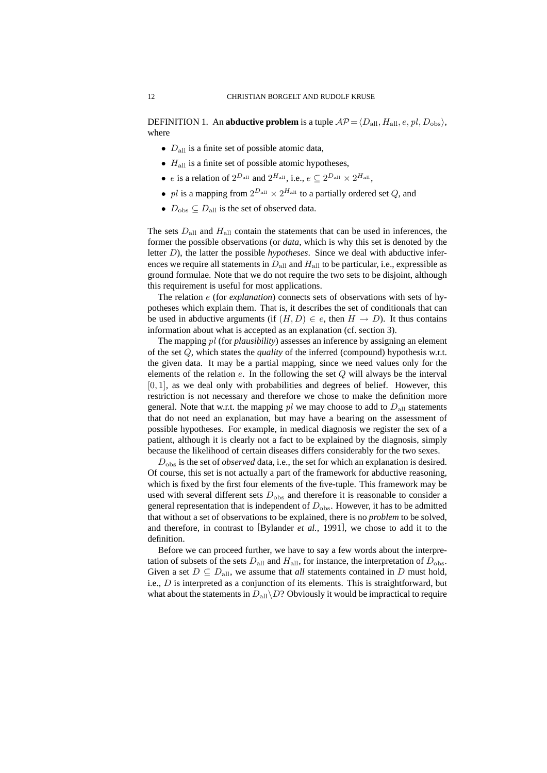**DEFINITION 1.** An **abductive problem** is a tuple  $AP = \langle D_{all}, H_{all}, e, pl, D_{obs} \rangle$ , where

- $D<sub>all</sub>$  is a finite set of possible atomic data,
- $\bullet$   $H_{\text{all}}$  is a finite set of possible atomic hypotheses,
- *e* is a relation of  $2^{D_{\text{all}}}$  and  $2^{H_{\text{all}}}$ , i.e.,  $e \subseteq 2^{D_{\text{all}}} \times 2^{H_{\text{all}}}$ ,
- pl is a mapping from  $2^{D_{\text{all}}} \times 2^{H_{\text{all}}}$  to a partially ordered set Q, and
- $D_{\text{obs}} \subseteq D_{\text{all}}$  is the set of observed data.

The sets  $D<sub>all</sub>$  and  $H<sub>all</sub>$  contain the statements that can be used in inferences, the former the possible observations (or *data*, which is why this set is denoted by the letter D), the latter the possible *hypotheses*. Since we deal with abductive inferences we require all statements in  $D_{\text{all}}$  and  $H_{\text{all}}$  to be particular, i.e., expressible as ground formulae. Note that we do not require the two sets to be disjoint, although this requirement is useful for most applications.

The relation e (for *explanation*) connects sets of observations with sets of hypotheses which explain them. That is, it describes the set of conditionals that can be used in abductive arguments (if  $(H, D) \in e$ , then  $H \to D$ ). It thus contains information about what is accepted as an explanation (cf. section 3).

The mapping pl (for *plausibility*) assesses an inference by assigning an element of the set Q, which states the *quality* of the inferred (compound) hypothesis w.r.t. the given data. It may be a partial mapping, since we need values only for the elements of the relation  $e$ . In the following the set  $Q$  will always be the interval  $[0, 1]$ , as we deal only with probabilities and degrees of belief. However, this restriction is not necessary and therefore we chose to make the definition more general. Note that w.r.t. the mapping pl we may choose to add to  $D_{all}$  statements that do not need an explanation, but may have a bearing on the assessment of possible hypotheses. For example, in medical diagnosis we register the sex of a patient, although it is clearly not a fact to be explained by the diagnosis, simply because the likelihood of certain diseases differs considerably for the two sexes.

Dobs is the set of *observed* data, i.e., the set for which an explanation is desired. Of course, this set is not actually a part of the framework for abductive reasoning, which is fixed by the first four elements of the five-tuple. This framework may be used with several different sets  $D_{\text{obs}}$  and therefore it is reasonable to consider a general representation that is independent of  $D_{\text{obs}}$ . However, it has to be admitted that without a set of observations to be explained, there is no *problem* to be solved, and therefore, in contrast to [Bylander *et al.*, 1991], we chose to add it to the definition.

Before we can proceed further, we have to say a few words about the interpretation of subsets of the sets  $D_{\text{all}}$  and  $H_{\text{all}}$ , for instance, the interpretation of  $D_{\text{obs}}$ . Given a set  $D \subseteq D_{all}$ , we assume that *all* statements contained in D must hold, i.e.,  $D$  is interpreted as a conjunction of its elements. This is straightforward, but what about the statements in  $D_{all}\D$ ? Obviously it would be impractical to require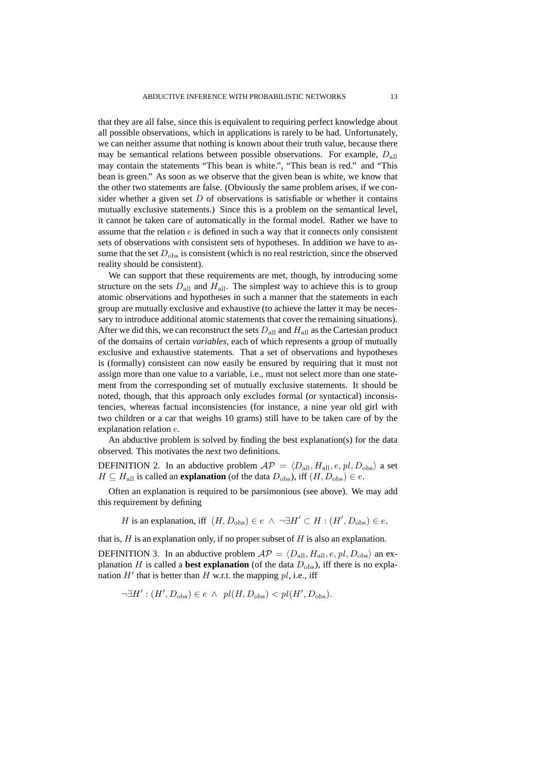that they are all false, since this is equivalent to requiring perfect knowledge about all possible observations, which in applications is rarely to be had. Unfortunately, we can neither assume that nothing is known about their truth value, because there may be semantical relations between possible observations. For example,  $D_{\text{all}}$ may contain the statements "This bean is white.", "This bean is red." and "This bean is green." As soon as we observe that the given bean is white, we know that the other two statements are false. (Obviously the same problem arises, if we consider whether a given set  $D$  of observations is satisfiable or whether it contains mutually exclusive statements.) Since this is a problem on the semantical level, it cannot be taken care of automatically in the formal model. Rather we have to assume that the relation  $e$  is defined in such a way that it connects only consistent sets of observations with consistent sets of hypotheses. In addition we have to assume that the set  $D_{\rm obs}$  is consistent (which is no real restriction, since the observed reality should be consistent).

We can support that these requirements are met, though, by introducing some structure on the sets  $D_{all}$  and  $H_{all}$ . The simplest way to achieve this is to group atomic observations and hypotheses in such a manner that the statements in each group are mutually exclusive and exhaustive (to achieve the latter it may be necessary to introduce additional atomic statements that cover the remaining situations). After we did this, we can reconstruct the sets  $D_{all}$  and  $H_{all}$  as the Cartesian product of the domains of certain *variables*, each of which represents a group of mutually exclusive and exhaustive statements. That a set of observations and hypotheses is (formally) consistent can now easily be ensured by requiring that it must not assign more than one value to a variable, i.e., must not select more than one statement from the corresponding set of mutually exclusive statements. It should be noted, though, that this approach only excludes formal (or syntactical) inconsistencies, whereas factual inconsistencies (for instance, a nine year old girl with two children or a car that weighs 10 grams) still have to be taken care of by the explanation relation e.

An abductive problem is solved by finding the best explanation(s) for the data observed. This motivates the next two definitions.

DEFINITION 2. In an abductive problem  $AP = \langle D_{\text{all}}, H_{\text{all}}, e, pl, D_{\text{obs}} \rangle$  a set  $H \subseteq H_{\text{all}}$  is called an **explanation** (of the data  $D_{\text{obs}}$ ), iff  $(H, D_{\text{obs}}) \in e$ .

Often an explanation is required to be parsimonious (see above). We may add this requirement by defining

H is an explanation, iff  $(H, D_{obs}) \in e \land \neg \exists H' \subset H : (H', D_{obs}) \in e$ ,

that is,  $H$  is an explanation only, if no proper subset of  $H$  is also an explanation.

DEFINITION 3. In an abductive problem  $AP = \langle D_{\text{all}}, H_{\text{all}}, e, pl, D_{\text{obs}} \rangle$  an explanation  $H$  is called a **best explanation** (of the data  $D_{\text{obs}}$ ), iff there is no explanation  $H'$  that is better than  $H$  w.r.t. the mapping  $pl$ , i.e., iff

$$
\neg \exists H' : (H', D_{\text{obs}}) \in e \land pl(H, D_{\text{obs}}) < pl(H', D_{\text{obs}}).
$$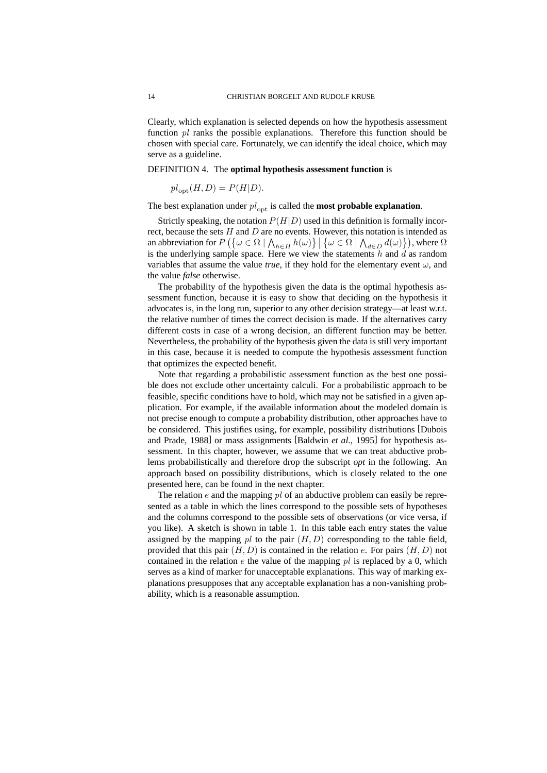Clearly, which explanation is selected depends on how the hypothesis assessment function pl ranks the possible explanations. Therefore this function should be chosen with special care. Fortunately, we can identify the ideal choice, which may serve as a guideline.

### DEFINITION 4. The **optimal hypothesis assessment function** is

$$
pl_{\text{opt}}(H, D) = P(H|D).
$$

The best explanation under  $pl_{\text{opt}}$  is called the **most probable explanation**.

Strictly speaking, the notation  $P(H|D)$  used in this definition is formally incorrect, because the sets  $H$  and  $D$  are no events. However, this notation is intended as an abbreviation for  $P(\{\omega \in \Omega \mid \bigwedge_{h \in H} h(\omega)\} \mid \{\omega \in \Omega \mid \bigwedge_{d \in D} d(\omega)\})$ , where  $\Omega$ is the underlying sample space. Here we view the statements  $h$  and  $d$  as random variables that assume the value *true*, if they hold for the elementary event  $\omega$ , and the value *false* otherwise.

The probability of the hypothesis given the data is the optimal hypothesis assessment function, because it is easy to show that deciding on the hypothesis it advocates is, in the long run, superior to any other decision strategy—at least w.r.t. the relative number of times the correct decision is made. If the alternatives carry different costs in case of a wrong decision, an different function may be better. Nevertheless, the probability of the hypothesis given the data is still very important in this case, because it is needed to compute the hypothesis assessment function that optimizes the expected benefit.

Note that regarding a probabilistic assessment function as the best one possible does not exclude other uncertainty calculi. For a probabilistic approach to be feasible, specific conditions have to hold, which may not be satisfied in a given application. For example, if the available information about the modeled domain is not precise enough to compute a probability distribution, other approaches have to be considered. This justifies using, for example, possibility distributions [Dubois and Prade, 1988] or mass assignments [Baldwin *et al.*, 1995] for hypothesis assessment. In this chapter, however, we assume that we can treat abductive problems probabilistically and therefore drop the subscript *opt* in the following. An approach based on possibility distributions, which is closely related to the one presented here, can be found in the next chapter.

The relation  $e$  and the mapping  $pl$  of an abductive problem can easily be represented as a table in which the lines correspond to the possible sets of hypotheses and the columns correspond to the possible sets of observations (or vice versa, if you like). A sketch is shown in table 1. In this table each entry states the value assigned by the mapping pl to the pair  $(H, D)$  corresponding to the table field, provided that this pair  $(H, D)$  is contained in the relation e. For pairs  $(H, D)$  not contained in the relation e the value of the mapping  $pl$  is replaced by a 0, which serves as a kind of marker for unacceptable explanations. This way of marking explanations presupposes that any acceptable explanation has a non-vanishing probability, which is a reasonable assumption.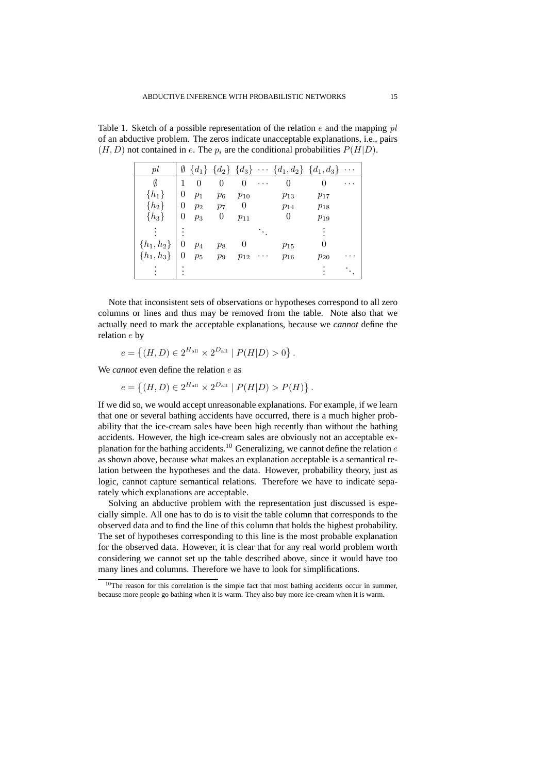Table 1. Sketch of a possible representation of the relation e and the mapping  $pl$ of an abductive problem. The zeros indicate unacceptable explanations, i.e., pairs  $(H, D)$  not contained in e. The  $p_i$  are the conditional probabilities  $P(H|D)$ .

| pl                  | Ø |          |                  |          |          | $\{d_1\} \{d_2\} \{d_3\} \cdots \{d_1, d_2\} \{d_1, d_3\} \cdots$ |          |  |
|---------------------|---|----------|------------------|----------|----------|-------------------------------------------------------------------|----------|--|
| Ø                   | 1 | $\theta$ | 0                | 0        | $\cdots$ |                                                                   |          |  |
| $\{h_1\}$           | 0 | $p_1$    | $p_6$            | $p_{10}$ |          | $p_{13}$                                                          | $p_{17}$ |  |
| $\{h_2\}$           | 0 | $p_2$    | p <sub>7</sub>   | 0        |          | $p_{14}$                                                          | $p_{18}$ |  |
| $\{h_3\}$           | 0 | $p_3$    | $\boldsymbol{0}$ | $p_{11}$ |          | 0                                                                 | $p_{19}$ |  |
|                     |   |          |                  |          |          |                                                                   |          |  |
| $\{h_{1}, h_{2}\}\$ | 0 | $p_4$    | $p_8$            |          |          | $p_{15}$                                                          | 0        |  |
| $\{h_{1}, h_{3}\}\$ | 0 | $p_5$    | $p_9$            | $p_{12}$ |          | $p_{16}$                                                          | $p_{20}$ |  |
|                     |   |          |                  |          |          |                                                                   |          |  |

Note that inconsistent sets of observations or hypotheses correspond to all zero columns or lines and thus may be removed from the table. Note also that we actually need to mark the acceptable explanations, because we *cannot* define the relation e by

$$
e = \{(H, D) \in 2^{H_{\text{all}}} \times 2^{D_{\text{all}}} | P(H|D) > 0\}.
$$

We *cannot* even define the relation  $e$  as

$$
e = \{(H, D) \in 2^{H_{\text{all}}} \times 2^{D_{\text{all}}} | P(H|D) > P(H) \}.
$$

If we did so, we would accept unreasonable explanations. For example, if we learn that one or several bathing accidents have occurred, there is a much higher probability that the ice-cream sales have been high recently than without the bathing accidents. However, the high ice-cream sales are obviously not an acceptable explanation for the bathing accidents.<sup>10</sup> Generalizing, we cannot define the relation  $e$ as shown above, because what makes an explanation acceptable is a semantical relation between the hypotheses and the data. However, probability theory, just as logic, cannot capture semantical relations. Therefore we have to indicate separately which explanations are acceptable.

Solving an abductive problem with the representation just discussed is especially simple. All one has to do is to visit the table column that corresponds to the observed data and to find the line of this column that holds the highest probability. The set of hypotheses corresponding to this line is the most probable explanation for the observed data. However, it is clear that for any real world problem worth considering we cannot set up the table described above, since it would have too many lines and columns. Therefore we have to look for simplifications.

<sup>&</sup>lt;sup>10</sup>The reason for this correlation is the simple fact that most bathing accidents occur in summer, because more people go bathing when it is warm. They also buy more ice-cream when it is warm.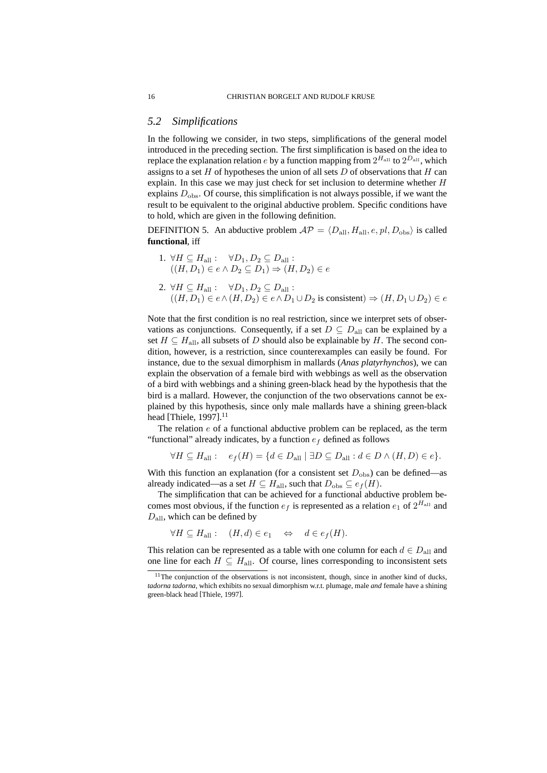## *5.2 Simplifications*

In the following we consider, in two steps, simplifications of the general model introduced in the preceding section. The first simplification is based on the idea to replace the explanation relation  $e$  by a function mapping from  $2^{H_{\rm all}}$  to  $2^{D_{\rm all}}$  , which assigns to a set  $H$  of hypotheses the union of all sets  $D$  of observations that  $H$  can explain. In this case we may just check for set inclusion to determine whether  $H$ explains  $D_{\text{obs}}$ . Of course, this simplification is not always possible, if we want the result to be equivalent to the original abductive problem. Specific conditions have to hold, which are given in the following definition.

DEFINITION 5. An abductive problem  $AP = \langle D_{all}, H_{all}, e, pl, D_{obs} \rangle$  is called **functional**, iff

1. 
$$
\forall H \subseteq H_{\text{all}}:
$$
  $\forall D_1, D_2 \subseteq D_{\text{all}}:$   
\n $((H, D_1) \in e \land D_2 \subseteq D_1) \Rightarrow (H, D_2) \in e$   
\n2.  $\forall H \subseteq H_{\text{all}}:$   $\forall D_1, D_2 \subseteq D_{\text{all}}:$   
\n $((H, D_1) \in e \land (H, D_2) \in e \land D_1 \cup D_2 \text{ is consistent}) \Rightarrow (H, D_1 \cup D_2) \in e$ 

Note that the first condition is no real restriction, since we interpret sets of observations as conjunctions. Consequently, if a set  $D \subseteq D_{all}$  can be explained by a set  $H \subseteq H_{all}$ , all subsets of D should also be explainable by H. The second condition, however, is a restriction, since counterexamples can easily be found. For instance, due to the sexual dimorphism in mallards (*Anas platyrhynchos*), we can explain the observation of a female bird with webbings as well as the observation of a bird with webbings and a shining green-black head by the hypothesis that the bird is a mallard. However, the conjunction of the two observations cannot be explained by this hypothesis, since only male mallards have a shining green-black head [Thiele, 1997].<sup>11</sup>

The relation  $e$  of a functional abductive problem can be replaced, as the term "functional" already indicates, by a function  $e_f$  defined as follows

$$
\forall H \subseteq H_{\text{all}} : e_f(H) = \{ d \in D_{\text{all}} \mid \exists D \subseteq D_{\text{all}} : d \in D \land (H, D) \in e \}.
$$

With this function an explanation (for a consistent set  $D_{\text{obs}}$ ) can be defined—as already indicated—as a set  $H \subseteq H_{all}$ , such that  $D_{obs} \subseteq e_f(H)$ .

The simplification that can be achieved for a functional abductive problem becomes most obvious, if the function  $e_f$  is represented as a relation  $e_1$  of  $2^{H_{all}}$  and  $D<sub>all</sub>$ , which can be defined by

$$
\forall H \subseteq H_{\text{all}} : \quad (H, d) \in e_1 \quad \Leftrightarrow \quad d \in e_f(H).
$$

This relation can be represented as a table with one column for each  $d \in D_{all}$  and one line for each  $H \subseteq H_{all}$ . Of course, lines corresponding to inconsistent sets

 $11$ The conjunction of the observations is not inconsistent, though, since in another kind of ducks, *tadorna tadorna*, which exhibits no sexual dimorphism w.r.t. plumage, male *and* female have a shining green-black head [Thiele, 1997].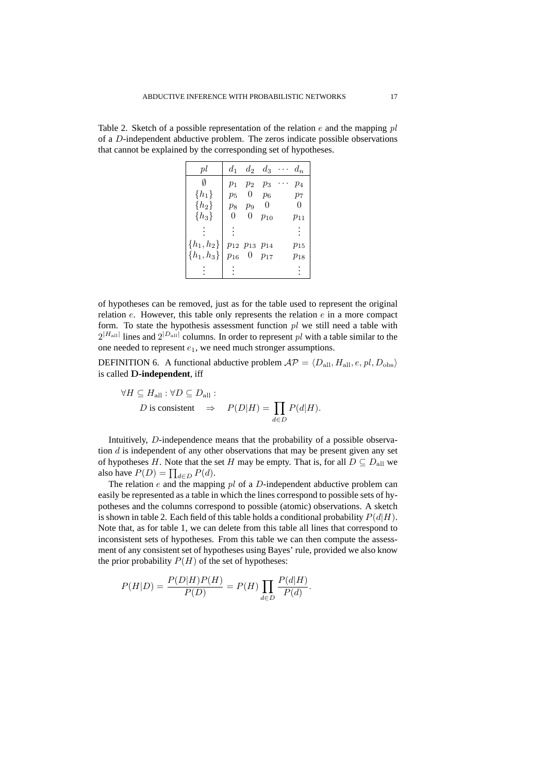Table 2. Sketch of a possible representation of the relation  $e$  and the mapping  $pl$ of a D-independent abductive problem. The zeros indicate possible observations that cannot be explained by the corresponding set of hypotheses.

| pl                  |       |                            | $d_1$ $d_2$ $d_3$ $\cdots$ $d_n$ |                  |
|---------------------|-------|----------------------------|----------------------------------|------------------|
| Ø                   | $p_1$ | $p_2$                      | $p_3$                            | $p_4$            |
| $\{h_1\}$           | $p_5$ | 0                          | $p_6$                            | p <sub>7</sub>   |
| $\{h_2\}$           | $p_8$ | $p_9$                      | 0                                | $\left( \right)$ |
| $\{h_3\}$           | 0     | 0                          | $p_{10}$                         | $p_{11}$         |
|                     |       |                            |                                  |                  |
| $\{h_{1}, h_{2}\}\$ |       | $p_{12}$ $p_{13}$ $p_{14}$ |                                  | $p_{15}$         |
| $\{h_{1}, h_{3}\}\$ |       | $p_{16}$ 0 $p_{17}$        |                                  | $p_{18}$         |
|                     |       |                            |                                  |                  |

of hypotheses can be removed, just as for the table used to represent the original relation  $e$ . However, this table only represents the relation  $e$  in a more compact form. To state the hypothesis assessment function  $pl$  we still need a table with  $2^{|H_{all}|}$  lines and  $2^{|D_{all}|}$  columns. In order to represent pl with a table similar to the one needed to represent  $e_1$ , we need much stronger assumptions.

DEFINITION 6. A functional abductive problem  $AP = \langle D_{\text{all}}, H_{\text{all}}, e, pl, D_{\text{obs}} \rangle$ is called D**-independent**, iff

$$
\forall H \subseteq H_{\text{all}} : \forall D \subseteq D_{\text{all}} :
$$
  
*D* is consistent  $\Rightarrow$   $P(D|H) = \prod_{d \in D} P(d|H).$ 

Intuitively, D-independence means that the probability of a possible observation  $d$  is independent of any other observations that may be present given any set of hypotheses H. Note that the set H may be empty. That is, for all  $D \subseteq D_{all}$  we also have  $P(D) = \prod_{d \in D} P(d)$ .

The relation  $e$  and the mapping  $pl$  of a  $D$ -independent abductive problem can easily be represented as a table in which the lines correspond to possible sets of hypotheses and the columns correspond to possible (atomic) observations. A sketch is shown in table 2. Each field of this table holds a conditional probability  $P(d|H)$ . Note that, as for table 1, we can delete from this table all lines that correspond to inconsistent sets of hypotheses. From this table we can then compute the assessment of any consistent set of hypotheses using Bayes' rule, provided we also know the prior probability  $P(H)$  of the set of hypotheses:

$$
P(H|D) = \frac{P(D|H)P(H)}{P(D)} = P(H) \prod_{d \in D} \frac{P(d|H)}{P(d)}.
$$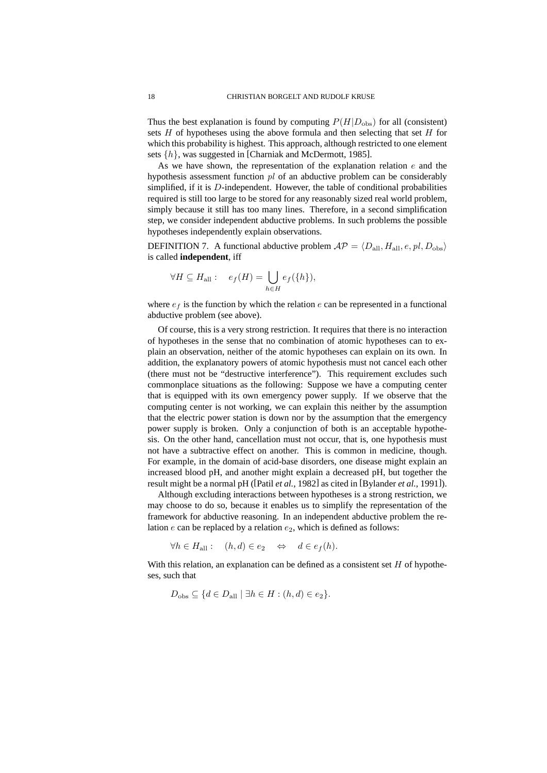Thus the best explanation is found by computing  $P(H|D<sub>obs</sub>)$  for all (consistent) sets  $H$  of hypotheses using the above formula and then selecting that set  $H$  for which this probability is highest. This approach, although restricted to one element sets  $\{h\}$ , was suggested in [Charniak and McDermott, 1985].

As we have shown, the representation of the explanation relation  $e$  and the hypothesis assessment function pl of an abductive problem can be considerably simplified, if it is D-independent. However, the table of conditional probabilities required is still too large to be stored for any reasonably sized real world problem, simply because it still has too many lines. Therefore, in a second simplification step, we consider independent abductive problems. In such problems the possible hypotheses independently explain observations.

DEFINITION 7. A functional abductive problem  $AP = \langle D_{\text{all}}, H_{\text{all}}, e, pl, D_{\text{obs}} \rangle$ is called **independent**, iff

$$
\forall H \subseteq H_{\text{all}}: \quad e_f(H) = \bigcup_{h \in H} e_f(\{h\}),
$$

where  $e_f$  is the function by which the relation e can be represented in a functional abductive problem (see above).

Of course, this is a very strong restriction. It requires that there is no interaction of hypotheses in the sense that no combination of atomic hypotheses can to explain an observation, neither of the atomic hypotheses can explain on its own. In addition, the explanatory powers of atomic hypothesis must not cancel each other (there must not be "destructive interference"). This requirement excludes such commonplace situations as the following: Suppose we have a computing center that is equipped with its own emergency power supply. If we observe that the computing center is not working, we can explain this neither by the assumption that the electric power station is down nor by the assumption that the emergency power supply is broken. Only a conjunction of both is an acceptable hypothesis. On the other hand, cancellation must not occur, that is, one hypothesis must not have a subtractive effect on another. This is common in medicine, though. For example, in the domain of acid-base disorders, one disease might explain an increased blood pH, and another might explain a decreased pH, but together the result might be a normal pH ([Patil *et al.*, 1982] as cited in [Bylander *et al.*, 1991]).

Although excluding interactions between hypotheses is a strong restriction, we may choose to do so, because it enables us to simplify the representation of the framework for abductive reasoning. In an independent abductive problem the relation  $e$  can be replaced by a relation  $e_2$ , which is defined as follows:

$$
\forall h \in H_{\text{all}} : \quad (h, d) \in e_2 \quad \Leftrightarrow \quad d \in e_f(h).
$$

With this relation, an explanation can be defined as a consistent set  $H$  of hypotheses, such that

$$
D_{\text{obs}} \subseteq \{d \in D_{\text{all}} \mid \exists h \in H : (h, d) \in e_2\}.
$$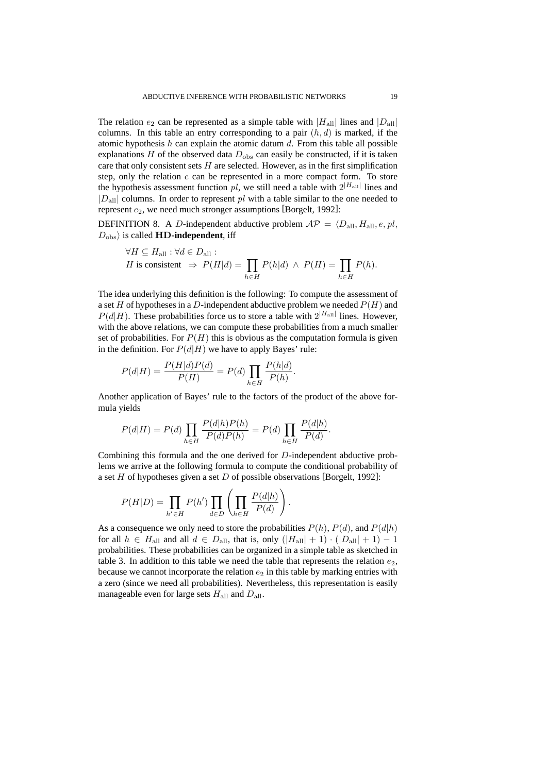The relation  $e_2$  can be represented as a simple table with  $|H_{\text{all}}|$  lines and  $|D_{\text{all}}|$ columns. In this table an entry corresponding to a pair  $(h, d)$  is marked, if the atomic hypothesis h can explain the atomic datum d. From this table all possible explanations  $H$  of the observed data  $D_{\text{obs}}$  can easily be constructed, if it is taken care that only consistent sets  $H$  are selected. However, as in the first simplification step, only the relation  $e$  can be represented in a more compact form. To store the hypothesis assessment function pl, we still need a table with  $2^{|H_{all}|}$  lines and  $|D_{\text{all}}|$  columns. In order to represent pl with a table similar to the one needed to represent  $e_2$ , we need much stronger assumptions [Borgelt, 1992]:

DEFINITION 8. A D-independent abductive problem  $AP = \langle D_{\text{all}}, H_{\text{all}}, e, pl \rangle$  $D<sub>obs</sub>$  is called **HD-independent**, iff

$$
\forall H \subseteq H_{\text{all}} : \forall d \in D_{\text{all}} : H \text{ is consistent } \Rightarrow P(H|d) = \prod_{h \in H} P(h|d) \land P(H) = \prod_{h \in H} P(h).
$$

The idea underlying this definition is the following: To compute the assessment of a set H of hypotheses in a D-independent abductive problem we needed  $P(H)$  and  $P(d|H)$ . These probabilities force us to store a table with  $2^{|H_{all}|}$  lines. However, with the above relations, we can compute these probabilities from a much smaller set of probabilities. For  $P(H)$  this is obvious as the computation formula is given in the definition. For  $P(d|H)$  we have to apply Bayes' rule:

$$
P(d|H) = \frac{P(H|d)P(d)}{P(H)} = P(d) \prod_{h \in H} \frac{P(h|d)}{P(h)}.
$$

Another application of Bayes' rule to the factors of the product of the above formula yields

$$
P(d|H) = P(d) \prod_{h \in H} \frac{P(d|h)P(h)}{P(d)P(h)} = P(d) \prod_{h \in H} \frac{P(d|h)}{P(d)}.
$$

Combining this formula and the one derived for D-independent abductive problems we arrive at the following formula to compute the conditional probability of a set  $H$  of hypotheses given a set  $D$  of possible observations [Borgelt, 1992]:

$$
P(H|D) = \prod_{h' \in H} P(h') \prod_{d \in D} \left( \prod_{h \in H} \frac{P(d|h)}{P(d)} \right).
$$

As a consequence we only need to store the probabilities  $P(h)$ ,  $P(d)$ , and  $P(d|h)$ for all  $h \in H_{\text{all}}$  and all  $d \in D_{\text{all}}$ , that is, only  $(|H_{\text{all}}| + 1) \cdot (|D_{\text{all}}| + 1) - 1$ probabilities. These probabilities can be organized in a simple table as sketched in table 3. In addition to this table we need the table that represents the relation  $e_2$ , because we cannot incorporate the relation  $e_2$  in this table by marking entries with a zero (since we need all probabilities). Nevertheless, this representation is easily manageable even for large sets  $H_{\text{all}}$  and  $D_{\text{all}}$ .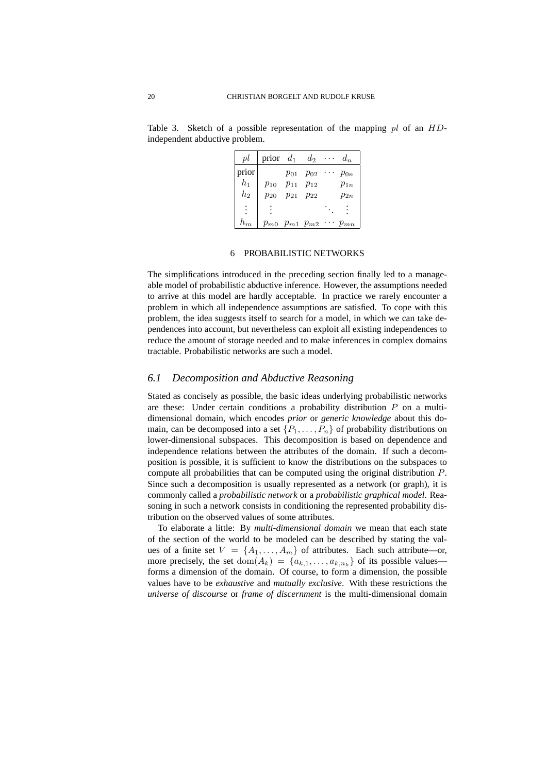| pl             | prior $d_1$ $d_2$ $\cdots$ $d_n$ |                   |                            |                 |
|----------------|----------------------------------|-------------------|----------------------------|-----------------|
| prior          |                                  |                   | $p_{01}$ $p_{02}$          | $p_{0n}$        |
| $h_1$          | $p_{10}$                         | $p_{11}$ $p_{12}$ |                            | $p_{1n}$        |
| h <sub>2</sub> | $p_{20}$                         | $p_{21}$ $p_{22}$ |                            | $p_{2n}$        |
|                |                                  |                   |                            |                 |
|                |                                  |                   | $p_{m0}$ $p_{m1}$ $p_{m2}$ | $\cdots p_{mn}$ |

Table 3. Sketch of a possible representation of the mapping  $pl$  of an  $HD$ independent abductive problem.

#### 6 PROBABILISTIC NETWORKS

The simplifications introduced in the preceding section finally led to a manageable model of probabilistic abductive inference. However, the assumptions needed to arrive at this model are hardly acceptable. In practice we rarely encounter a problem in which all independence assumptions are satisfied. To cope with this problem, the idea suggests itself to search for a model, in which we can take dependences into account, but nevertheless can exploit all existing independences to reduce the amount of storage needed and to make inferences in complex domains tractable. Probabilistic networks are such a model.

## *6.1 Decomposition and Abductive Reasoning*

Stated as concisely as possible, the basic ideas underlying probabilistic networks are these: Under certain conditions a probability distribution  $P$  on a multidimensional domain, which encodes *prior* or *generic knowledge* about this domain, can be decomposed into a set  $\{P_1, \ldots, P_n\}$  of probability distributions on lower-dimensional subspaces. This decomposition is based on dependence and independence relations between the attributes of the domain. If such a decomposition is possible, it is sufficient to know the distributions on the subspaces to compute all probabilities that can be computed using the original distribution P. Since such a decomposition is usually represented as a network (or graph), it is commonly called a *probabilistic network* or a *probabilistic graphical model*. Reasoning in such a network consists in conditioning the represented probability distribution on the observed values of some attributes.

To elaborate a little: By *multi-dimensional domain* we mean that each state of the section of the world to be modeled can be described by stating the values of a finite set  $V = \{A_1, \ldots, A_m\}$  of attributes. Each such attribute—or, more precisely, the set  $dom(A_k) = \{a_{k,1}, \ldots, a_{k,n_k}\}\$  of its possible values forms a dimension of the domain. Of course, to form a dimension, the possible values have to be *exhaustive* and *mutually exclusive*. With these restrictions the *universe of discourse* or *frame of discernment* is the multi-dimensional domain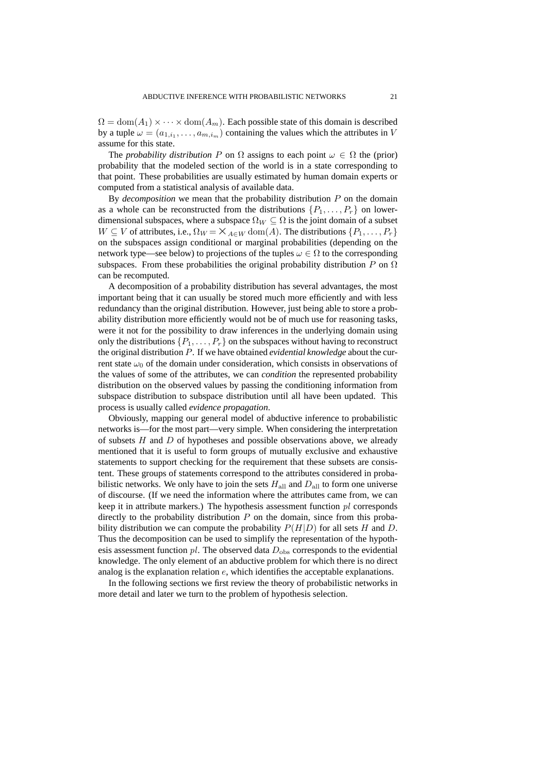$\Omega = \text{dom}(A_1) \times \cdots \times \text{dom}(A_m)$ . Each possible state of this domain is described by a tuple  $\omega = (a_{1,i_1}, \dots, a_{m,i_m})$  containing the values which the attributes in V assume for this state.

The *probability distribution* P on  $\Omega$  assigns to each point  $\omega \in \Omega$  the (prior) probability that the modeled section of the world is in a state corresponding to that point. These probabilities are usually estimated by human domain experts or computed from a statistical analysis of available data.

By *decomposition* we mean that the probability distribution P on the domain as a whole can be reconstructed from the distributions  $\{P_1, \ldots, P_r\}$  on lowerdimensional subspaces, where a subspace  $\Omega_W \subseteq \Omega$  is the joint domain of a subset  $W \subseteq V$  of attributes, i.e.,  $\Omega_W = \mathsf{X}_{A \in W}$  dom $(A)$ . The distributions  $\{P_1, \ldots, P_r\}$ on the subspaces assign conditional or marginal probabilities (depending on the network type—see below) to projections of the tuples  $\omega \in \Omega$  to the corresponding subspaces. From these probabilities the original probability distribution  $P$  on  $\Omega$ can be recomputed.

A decomposition of a probability distribution has several advantages, the most important being that it can usually be stored much more efficiently and with less redundancy than the original distribution. However, just being able to store a probability distribution more efficiently would not be of much use for reasoning tasks, were it not for the possibility to draw inferences in the underlying domain using only the distributions  $\{P_1, \ldots, P_r\}$  on the subspaces without having to reconstruct the original distribution P. If we have obtained *evidential knowledge* about the current state  $\omega_0$  of the domain under consideration, which consists in observations of the values of some of the attributes, we can *condition* the represented probability distribution on the observed values by passing the conditioning information from subspace distribution to subspace distribution until all have been updated. This process is usually called *evidence propagation*.

Obviously, mapping our general model of abductive inference to probabilistic networks is—for the most part—very simple. When considering the interpretation of subsets  $H$  and  $D$  of hypotheses and possible observations above, we already mentioned that it is useful to form groups of mutually exclusive and exhaustive statements to support checking for the requirement that these subsets are consistent. These groups of statements correspond to the attributes considered in probabilistic networks. We only have to join the sets  $H_{all}$  and  $D_{all}$  to form one universe of discourse. (If we need the information where the attributes came from, we can keep it in attribute markers.) The hypothesis assessment function  $pl$  corresponds directly to the probability distribution  $P$  on the domain, since from this probability distribution we can compute the probability  $P(H|D)$  for all sets H and D. Thus the decomposition can be used to simplify the representation of the hypothesis assessment function pl. The observed data  $D_{\rm obs}$  corresponds to the evidential knowledge. The only element of an abductive problem for which there is no direct analog is the explanation relation  $e$ , which identifies the acceptable explanations.

In the following sections we first review the theory of probabilistic networks in more detail and later we turn to the problem of hypothesis selection.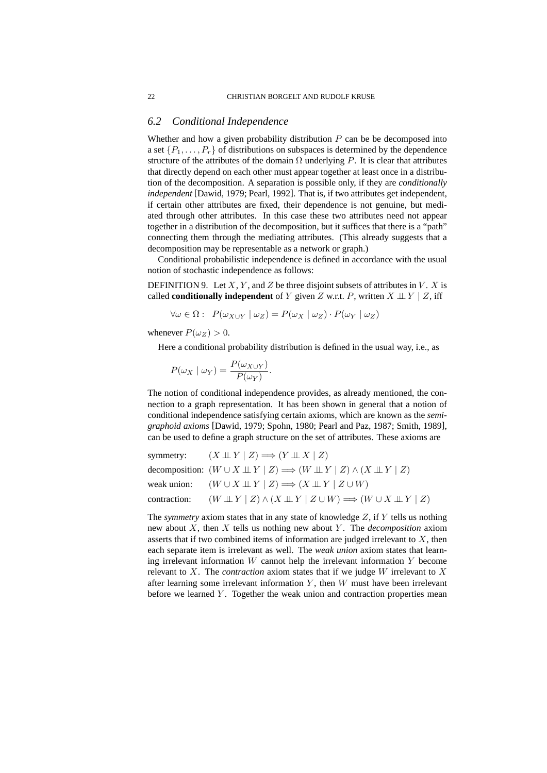## *6.2 Conditional Independence*

Whether and how a given probability distribution  $P$  can be be decomposed into a set  $\{P_1, \ldots, P_r\}$  of distributions on subspaces is determined by the dependence structure of the attributes of the domain  $\Omega$  underlying P. It is clear that attributes that directly depend on each other must appear together at least once in a distribution of the decomposition. A separation is possible only, if they are *conditionally independent* [Dawid, 1979; Pearl, 1992]. That is, if two attributes get independent, if certain other attributes are fixed, their dependence is not genuine, but mediated through other attributes. In this case these two attributes need not appear together in a distribution of the decomposition, but it suffices that there is a "path" connecting them through the mediating attributes. (This already suggests that a decomposition may be representable as a network or graph.)

Conditional probabilistic independence is defined in accordance with the usual notion of stochastic independence as follows:

DEFINITION 9. Let  $X, Y$ , and  $Z$  be three disjoint subsets of attributes in  $V$ .  $X$  is called **conditionally independent** of Y given Z w.r.t. P, written  $X \perp \!\!\!\perp Y \mid Z$ , iff

$$
\forall \omega \in \Omega : P(\omega_{X \cup Y} \mid \omega_Z) = P(\omega_X \mid \omega_Z) \cdot P(\omega_Y \mid \omega_Z)
$$

whenever  $P(\omega_Z) > 0$ .

Here a conditional probability distribution is defined in the usual way, i.e., as

$$
P(\omega_X \mid \omega_Y) = \frac{P(\omega_{X \cup Y})}{P(\omega_Y)}.
$$

The notion of conditional independence provides, as already mentioned, the connection to a graph representation. It has been shown in general that a notion of conditional independence satisfying certain axioms, which are known as the *semigraphoid axioms* [Dawid, 1979; Spohn, 1980; Pearl and Paz, 1987; Smith, 1989], can be used to define a graph structure on the set of attributes. These axioms are

```
symmetry: (X \perp\!\!\!\perp Y \mid Z) \Longrightarrow (Y \perp\!\!\!\perp X \mid Z)decomposition: (W \cup X \perp Y | Z) \Longrightarrow (W \perp Y | Z) \wedge (X \perp Y | Z)weak union: (W \cup X \perp \!\!\! \perp Y \mid Z) \Longrightarrow (X \perp \!\!\! \perp Y \mid Z \cup W)contraction: (W \perp \!\!\!\perp Y \mid Z) \wedge (X \perp \!\!\!\perp Y \mid Z \cup W) \Longrightarrow (W \cup X \perp \!\!\!\perp Y \mid Z)
```
The *symmetry* axiom states that in any state of knowledge  $Z$ , if  $Y$  tells us nothing new about X, then X tells us nothing new about Y . The *decomposition* axiom asserts that if two combined items of information are judged irrelevant to  $X$ , then each separate item is irrelevant as well. The *weak union* axiom states that learning irrelevant information  $W$  cannot help the irrelevant information  $Y$  become relevant to X. The *contraction* axiom states that if we judge W irrelevant to X after learning some irrelevant information  $Y$ , then  $W$  must have been irrelevant before we learned  $Y$ . Together the weak union and contraction properties mean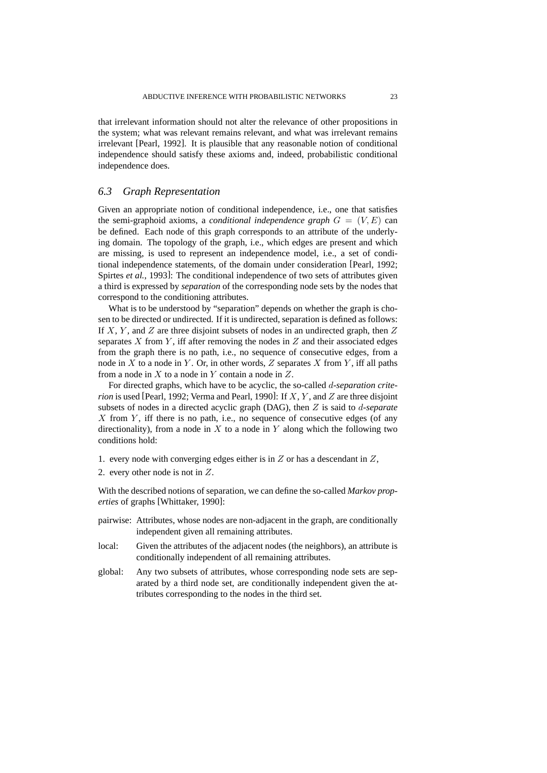that irrelevant information should not alter the relevance of other propositions in the system; what was relevant remains relevant, and what was irrelevant remains irrelevant [Pearl, 1992]. It is plausible that any reasonable notion of conditional independence should satisfy these axioms and, indeed, probabilistic conditional independence does.

# *6.3 Graph Representation*

Given an appropriate notion of conditional independence, i.e., one that satisfies the semi-graphoid axioms, a *conditional independence graph*  $G = (V, E)$  can be defined. Each node of this graph corresponds to an attribute of the underlying domain. The topology of the graph, i.e., which edges are present and which are missing, is used to represent an independence model, i.e., a set of conditional independence statements, of the domain under consideration [Pearl, 1992; Spirtes *et al.*, 1993]: The conditional independence of two sets of attributes given a third is expressed by *separation* of the corresponding node sets by the nodes that correspond to the conditioning attributes.

What is to be understood by "separation" depends on whether the graph is chosen to be directed or undirected. If it is undirected, separation is defined as follows: If  $X, Y$ , and  $Z$  are three disjoint subsets of nodes in an undirected graph, then  $Z$ separates  $X$  from  $Y$ , iff after removing the nodes in  $Z$  and their associated edges from the graph there is no path, i.e., no sequence of consecutive edges, from a node in X to a node in Y. Or, in other words, Z separates X from Y, iff all paths from a node in  $X$  to a node in  $Y$  contain a node in  $Z$ .

For directed graphs, which have to be acyclic, the so-called d*-separation criterion* is used [Pearl, 1992; Verma and Pearl, 1990]: If  $X, Y$ , and  $Z$  are three disjoint subsets of nodes in a directed acyclic graph (DAG), then Z is said to d*-separate*  $X$  from  $Y$ , iff there is no path, i.e., no sequence of consecutive edges (of any directionality), from a node in  $X$  to a node in  $Y$  along which the following two conditions hold:

1. every node with converging edges either is in  $Z$  or has a descendant in  $Z$ ,

2. every other node is not in Z.

With the described notions of separation, we can define the so-called *Markov properties* of graphs [Whittaker, 1990]:

- pairwise: Attributes, whose nodes are non-adjacent in the graph, are conditionally independent given all remaining attributes.
- local: Given the attributes of the adjacent nodes (the neighbors), an attribute is conditionally independent of all remaining attributes.
- global: Any two subsets of attributes, whose corresponding node sets are separated by a third node set, are conditionally independent given the attributes corresponding to the nodes in the third set.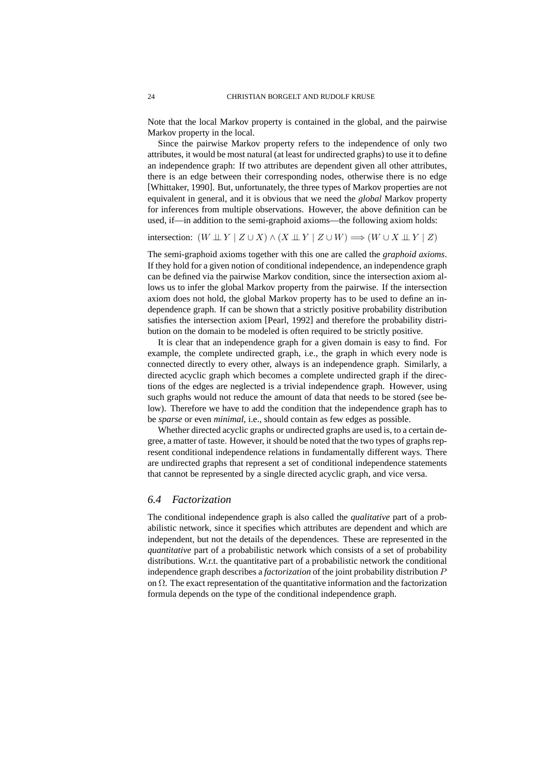Note that the local Markov property is contained in the global, and the pairwise Markov property in the local.

Since the pairwise Markov property refers to the independence of only two attributes, it would be most natural (at least for undirected graphs) to use it to define an independence graph: If two attributes are dependent given all other attributes, there is an edge between their corresponding nodes, otherwise there is no edge [Whittaker, 1990]. But, unfortunately, the three types of Markov properties are not equivalent in general, and it is obvious that we need the *global* Markov property for inferences from multiple observations. However, the above definition can be used, if—in addition to the semi-graphoid axioms—the following axiom holds:

## intersection:  $(W \perp\!\!\!\perp Y \mid Z \cup X) \wedge (X \perp\!\!\!\perp Y \mid Z \cup W) \Longrightarrow (W \cup X \perp\!\!\!\perp Y \mid Z)$

The semi-graphoid axioms together with this one are called the *graphoid axioms*. If they hold for a given notion of conditional independence, an independence graph can be defined via the pairwise Markov condition, since the intersection axiom allows us to infer the global Markov property from the pairwise. If the intersection axiom does not hold, the global Markov property has to be used to define an independence graph. If can be shown that a strictly positive probability distribution satisfies the intersection axiom [Pearl, 1992] and therefore the probability distribution on the domain to be modeled is often required to be strictly positive.

It is clear that an independence graph for a given domain is easy to find. For example, the complete undirected graph, i.e., the graph in which every node is connected directly to every other, always is an independence graph. Similarly, a directed acyclic graph which becomes a complete undirected graph if the directions of the edges are neglected is a trivial independence graph. However, using such graphs would not reduce the amount of data that needs to be stored (see below). Therefore we have to add the condition that the independence graph has to be *sparse* or even *minimal*, i.e., should contain as few edges as possible.

Whether directed acyclic graphs or undirected graphs are used is, to a certain degree, a matter of taste. However, it should be noted that the two types of graphs represent conditional independence relations in fundamentally different ways. There are undirected graphs that represent a set of conditional independence statements that cannot be represented by a single directed acyclic graph, and vice versa.

## *6.4 Factorization*

The conditional independence graph is also called the *qualitative* part of a probabilistic network, since it specifies which attributes are dependent and which are independent, but not the details of the dependences. These are represented in the *quantitative* part of a probabilistic network which consists of a set of probability distributions. W.r.t. the quantitative part of a probabilistic network the conditional independence graph describes a *factorization* of the joint probability distribution P on  $\Omega$ . The exact representation of the quantitative information and the factorization formula depends on the type of the conditional independence graph.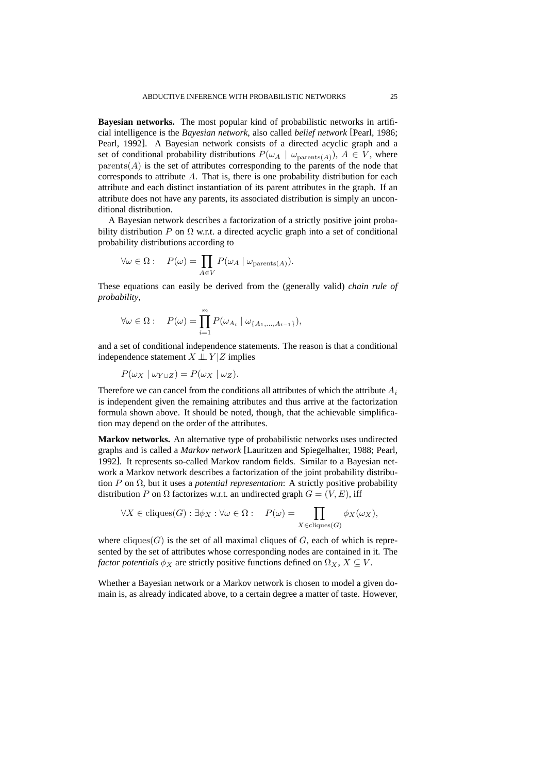**Bayesian networks.** The most popular kind of probabilistic networks in artificial intelligence is the *Bayesian network*, also called *belief network* [Pearl, 1986; Pearl, 1992]. A Bayesian network consists of a directed acyclic graph and a set of conditional probability distributions  $P(\omega_A | \omega_{\text{parents}(A)}), A \in V$ , where  $\text{parents}(A)$  is the set of attributes corresponding to the parents of the node that corresponds to attribute A. That is, there is one probability distribution for each attribute and each distinct instantiation of its parent attributes in the graph. If an attribute does not have any parents, its associated distribution is simply an unconditional distribution.

A Bayesian network describes a factorization of a strictly positive joint probability distribution P on  $\Omega$  w.r.t. a directed acyclic graph into a set of conditional probability distributions according to

$$
\forall \omega \in \Omega: \quad P(\omega) = \prod_{A \in V} P(\omega_A \mid \omega_{\text{parents}(A)}).
$$

These equations can easily be derived from the (generally valid) *chain rule of probability*,

$$
\forall \omega \in \Omega: \quad P(\omega) = \prod_{i=1}^{m} P(\omega_{A_i} \mid \omega_{\{A_1, \dots, A_{i-1}\}}),
$$

and a set of conditional independence statements. The reason is that a conditional independence statement  $X \perp \!\!\! \perp Y | Z$  implies

$$
P(\omega_X \mid \omega_{Y \cup Z}) = P(\omega_X \mid \omega_Z).
$$

Therefore we can cancel from the conditions all attributes of which the attribute  $A_i$ is independent given the remaining attributes and thus arrive at the factorization formula shown above. It should be noted, though, that the achievable simplification may depend on the order of the attributes.

**Markov networks.** An alternative type of probabilistic networks uses undirected graphs and is called a *Markov network* [Lauritzen and Spiegelhalter, 1988; Pearl, 1992]. It represents so-called Markov random fields. Similar to a Bayesian network a Markov network describes a factorization of the joint probability distribution P on  $\Omega$ , but it uses a *potential representation*: A strictly positive probability distribution P on  $\Omega$  factorizes w.r.t. an undirected graph  $G = (V, E)$ , iff

$$
\forall X \in \text{cliques}(G) : \exists \phi_X : \forall \omega \in \Omega : P(\omega) = \prod_{X \in \text{cliques}(G)} \phi_X(\omega_X),
$$

where cliques(G) is the set of all maximal cliques of G, each of which is represented by the set of attributes whose corresponding nodes are contained in it. The *factor potentials*  $\phi_X$  are strictly positive functions defined on  $\Omega_X$ ,  $X \subseteq V$ .

Whether a Bayesian network or a Markov network is chosen to model a given domain is, as already indicated above, to a certain degree a matter of taste. However,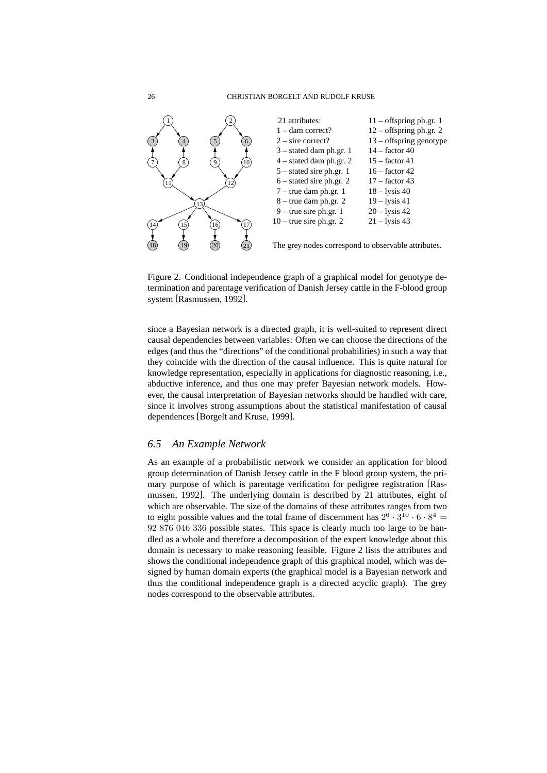

Figure 2. Conditional independence graph of a graphical model for genotype determination and parentage verification of Danish Jersey cattle in the F-blood group system [Rasmussen, 1992].

since a Bayesian network is a directed graph, it is well-suited to represent direct causal dependencies between variables: Often we can choose the directions of the edges (and thus the "directions" of the conditional probabilities) in such a way that they coincide with the direction of the causal influence. This is quite natural for knowledge representation, especially in applications for diagnostic reasoning, i.e., abductive inference, and thus one may prefer Bayesian network models. However, the causal interpretation of Bayesian networks should be handled with care, since it involves strong assumptions about the statistical manifestation of causal dependences [Borgelt and Kruse, 1999].

## *6.5 An Example Network*

As an example of a probabilistic network we consider an application for blood group determination of Danish Jersey cattle in the F blood group system, the primary purpose of which is parentage verification for pedigree registration [Rasmussen, 1992]. The underlying domain is described by 21 attributes, eight of which are observable. The size of the domains of these attributes ranges from two to eight possible values and the total frame of discernment has  $2^6 \cdot 3^{10} \cdot 6 \cdot 8^4 =$ 92 876 046 336 possible states. This space is clearly much too large to be handled as a whole and therefore a decomposition of the expert knowledge about this domain is necessary to make reasoning feasible. Figure 2 lists the attributes and shows the conditional independence graph of this graphical model, which was designed by human domain experts (the graphical model is a Bayesian network and thus the conditional independence graph is a directed acyclic graph). The grey nodes correspond to the observable attributes.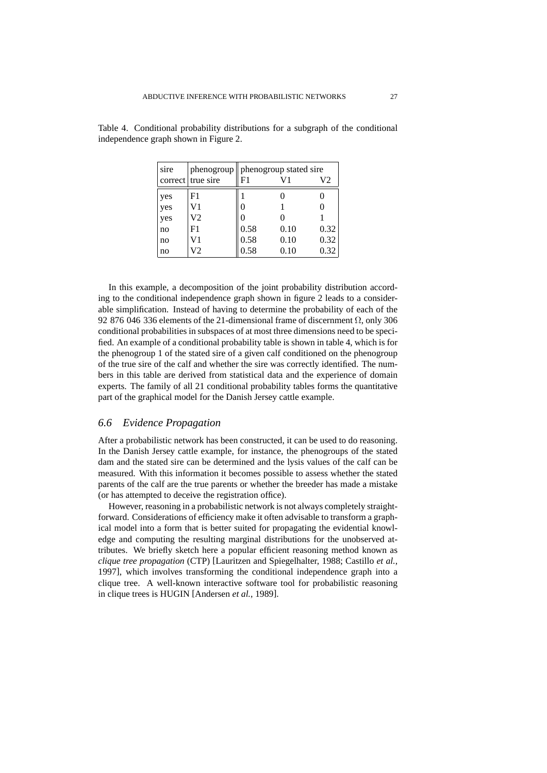| sire |                   | phenogroup    phenogroup stated sire |      |      |  |
|------|-------------------|--------------------------------------|------|------|--|
|      | correct true sire | F1                                   |      | V2   |  |
| yes  | F1                |                                      |      |      |  |
| yes  | V1                |                                      |      |      |  |
| yes  | V <sub>2</sub>    |                                      |      |      |  |
| no   | F1                | 0.58                                 | 0.10 | 0.32 |  |
| no   | V1                | 0.58                                 | 0.10 | 0.32 |  |
| no   | V2                | 0.58                                 | 0.10 | 0.32 |  |

Table 4. Conditional probability distributions for a subgraph of the conditional independence graph shown in Figure 2.

In this example, a decomposition of the joint probability distribution according to the conditional independence graph shown in figure 2 leads to a considerable simplification. Instead of having to determine the probability of each of the 92 876 046 336 elements of the 21-dimensional frame of discernment Ω, only 306 conditional probabilities in subspaces of at most three dimensions need to be specified. An example of a conditional probability table is shown in table 4, which is for the phenogroup 1 of the stated sire of a given calf conditioned on the phenogroup of the true sire of the calf and whether the sire was correctly identified. The numbers in this table are derived from statistical data and the experience of domain experts. The family of all 21 conditional probability tables forms the quantitative part of the graphical model for the Danish Jersey cattle example.

## *6.6 Evidence Propagation*

After a probabilistic network has been constructed, it can be used to do reasoning. In the Danish Jersey cattle example, for instance, the phenogroups of the stated dam and the stated sire can be determined and the lysis values of the calf can be measured. With this information it becomes possible to assess whether the stated parents of the calf are the true parents or whether the breeder has made a mistake (or has attempted to deceive the registration office).

However, reasoning in a probabilistic network is not always completely straightforward. Considerations of efficiency make it often advisable to transform a graphical model into a form that is better suited for propagating the evidential knowledge and computing the resulting marginal distributions for the unobserved attributes. We briefly sketch here a popular efficient reasoning method known as *clique tree propagation* (CTP) [Lauritzen and Spiegelhalter, 1988; Castillo *et al.*, 1997], which involves transforming the conditional independence graph into a clique tree. A well-known interactive software tool for probabilistic reasoning in clique trees is HUGIN [Andersen *et al.*, 1989].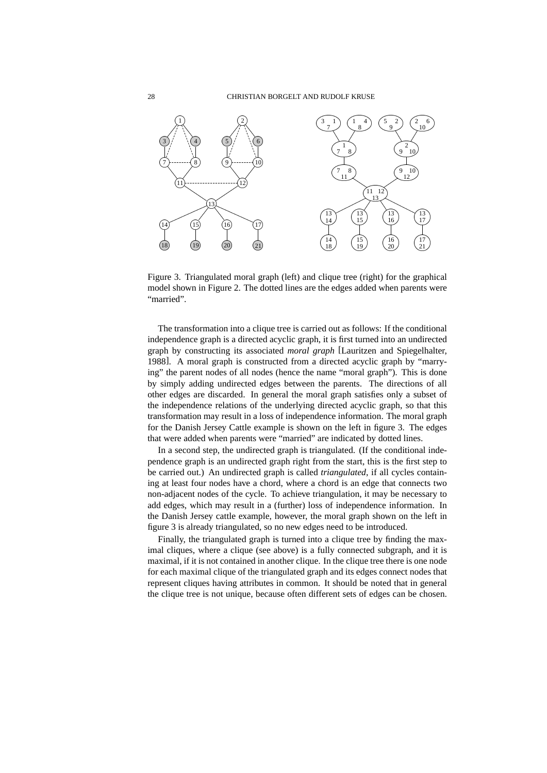

Figure 3. Triangulated moral graph (left) and clique tree (right) for the graphical model shown in Figure 2. The dotted lines are the edges added when parents were "married".

The transformation into a clique tree is carried out as follows: If the conditional independence graph is a directed acyclic graph, it is first turned into an undirected graph by constructing its associated *moral graph* [Lauritzen and Spiegelhalter, 1988]. A moral graph is constructed from a directed acyclic graph by "marrying" the parent nodes of all nodes (hence the name "moral graph"). This is done by simply adding undirected edges between the parents. The directions of all other edges are discarded. In general the moral graph satisfies only a subset of the independence relations of the underlying directed acyclic graph, so that this transformation may result in a loss of independence information. The moral graph for the Danish Jersey Cattle example is shown on the left in figure 3. The edges that were added when parents were "married" are indicated by dotted lines.

In a second step, the undirected graph is triangulated. (If the conditional independence graph is an undirected graph right from the start, this is the first step to be carried out.) An undirected graph is called *triangulated*, if all cycles containing at least four nodes have a chord, where a chord is an edge that connects two non-adjacent nodes of the cycle. To achieve triangulation, it may be necessary to add edges, which may result in a (further) loss of independence information. In the Danish Jersey cattle example, however, the moral graph shown on the left in figure 3 is already triangulated, so no new edges need to be introduced.

Finally, the triangulated graph is turned into a clique tree by finding the maximal cliques, where a clique (see above) is a fully connected subgraph, and it is maximal, if it is not contained in another clique. In the clique tree there is one node for each maximal clique of the triangulated graph and its edges connect nodes that represent cliques having attributes in common. It should be noted that in general the clique tree is not unique, because often different sets of edges can be chosen.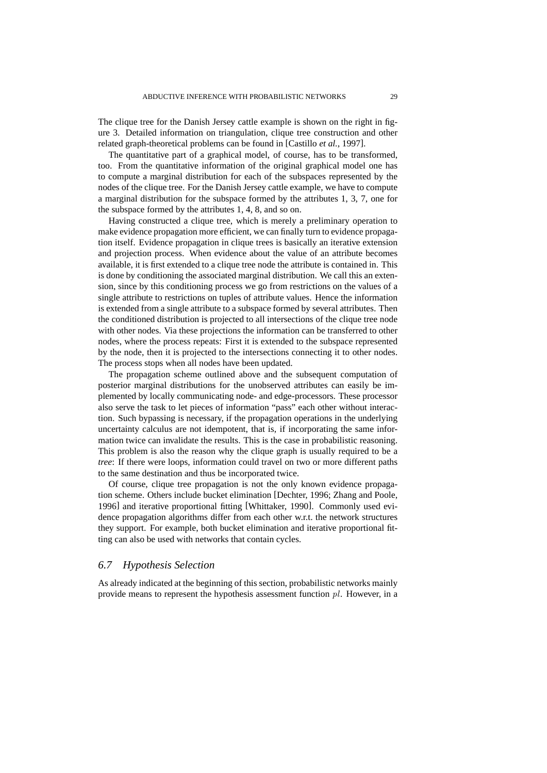The clique tree for the Danish Jersey cattle example is shown on the right in figure 3. Detailed information on triangulation, clique tree construction and other related graph-theoretical problems can be found in [Castillo *et al.*, 1997].

The quantitative part of a graphical model, of course, has to be transformed, too. From the quantitative information of the original graphical model one has to compute a marginal distribution for each of the subspaces represented by the nodes of the clique tree. For the Danish Jersey cattle example, we have to compute a marginal distribution for the subspace formed by the attributes 1, 3, 7, one for the subspace formed by the attributes 1, 4, 8, and so on.

Having constructed a clique tree, which is merely a preliminary operation to make evidence propagation more efficient, we can finally turn to evidence propagation itself. Evidence propagation in clique trees is basically an iterative extension and projection process. When evidence about the value of an attribute becomes available, it is first extended to a clique tree node the attribute is contained in. This is done by conditioning the associated marginal distribution. We call this an extension, since by this conditioning process we go from restrictions on the values of a single attribute to restrictions on tuples of attribute values. Hence the information is extended from a single attribute to a subspace formed by several attributes. Then the conditioned distribution is projected to all intersections of the clique tree node with other nodes. Via these projections the information can be transferred to other nodes, where the process repeats: First it is extended to the subspace represented by the node, then it is projected to the intersections connecting it to other nodes. The process stops when all nodes have been updated.

The propagation scheme outlined above and the subsequent computation of posterior marginal distributions for the unobserved attributes can easily be implemented by locally communicating node- and edge-processors. These processor also serve the task to let pieces of information "pass" each other without interaction. Such bypassing is necessary, if the propagation operations in the underlying uncertainty calculus are not idempotent, that is, if incorporating the same information twice can invalidate the results. This is the case in probabilistic reasoning. This problem is also the reason why the clique graph is usually required to be a *tree*: If there were loops, information could travel on two or more different paths to the same destination and thus be incorporated twice.

Of course, clique tree propagation is not the only known evidence propagation scheme. Others include bucket elimination [Dechter, 1996; Zhang and Poole, 1996] and iterative proportional fitting [Whittaker, 1990]. Commonly used evidence propagation algorithms differ from each other w.r.t. the network structures they support. For example, both bucket elimination and iterative proportional fitting can also be used with networks that contain cycles.

# *6.7 Hypothesis Selection*

As already indicated at the beginning of this section, probabilistic networks mainly provide means to represent the hypothesis assessment function  $pl$ . However, in a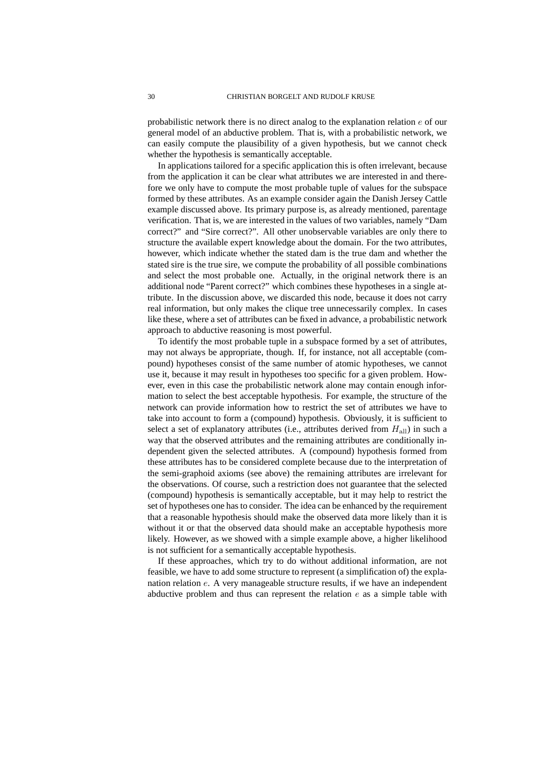probabilistic network there is no direct analog to the explanation relation e of our general model of an abductive problem. That is, with a probabilistic network, we can easily compute the plausibility of a given hypothesis, but we cannot check whether the hypothesis is semantically acceptable.

In applications tailored for a specific application this is often irrelevant, because from the application it can be clear what attributes we are interested in and therefore we only have to compute the most probable tuple of values for the subspace formed by these attributes. As an example consider again the Danish Jersey Cattle example discussed above. Its primary purpose is, as already mentioned, parentage verification. That is, we are interested in the values of two variables, namely "Dam correct?" and "Sire correct?". All other unobservable variables are only there to structure the available expert knowledge about the domain. For the two attributes, however, which indicate whether the stated dam is the true dam and whether the stated sire is the true sire, we compute the probability of all possible combinations and select the most probable one. Actually, in the original network there is an additional node "Parent correct?" which combines these hypotheses in a single attribute. In the discussion above, we discarded this node, because it does not carry real information, but only makes the clique tree unnecessarily complex. In cases like these, where a set of attributes can be fixed in advance, a probabilistic network approach to abductive reasoning is most powerful.

To identify the most probable tuple in a subspace formed by a set of attributes, may not always be appropriate, though. If, for instance, not all acceptable (compound) hypotheses consist of the same number of atomic hypotheses, we cannot use it, because it may result in hypotheses too specific for a given problem. However, even in this case the probabilistic network alone may contain enough information to select the best acceptable hypothesis. For example, the structure of the network can provide information how to restrict the set of attributes we have to take into account to form a (compound) hypothesis. Obviously, it is sufficient to select a set of explanatory attributes (i.e., attributes derived from  $H_{\text{all}}$ ) in such a way that the observed attributes and the remaining attributes are conditionally independent given the selected attributes. A (compound) hypothesis formed from these attributes has to be considered complete because due to the interpretation of the semi-graphoid axioms (see above) the remaining attributes are irrelevant for the observations. Of course, such a restriction does not guarantee that the selected (compound) hypothesis is semantically acceptable, but it may help to restrict the set of hypotheses one has to consider. The idea can be enhanced by the requirement that a reasonable hypothesis should make the observed data more likely than it is without it or that the observed data should make an acceptable hypothesis more likely. However, as we showed with a simple example above, a higher likelihood is not sufficient for a semantically acceptable hypothesis.

If these approaches, which try to do without additional information, are not feasible, we have to add some structure to represent (a simplification of) the explanation relation e. A very manageable structure results, if we have an independent abductive problem and thus can represent the relation  $e$  as a simple table with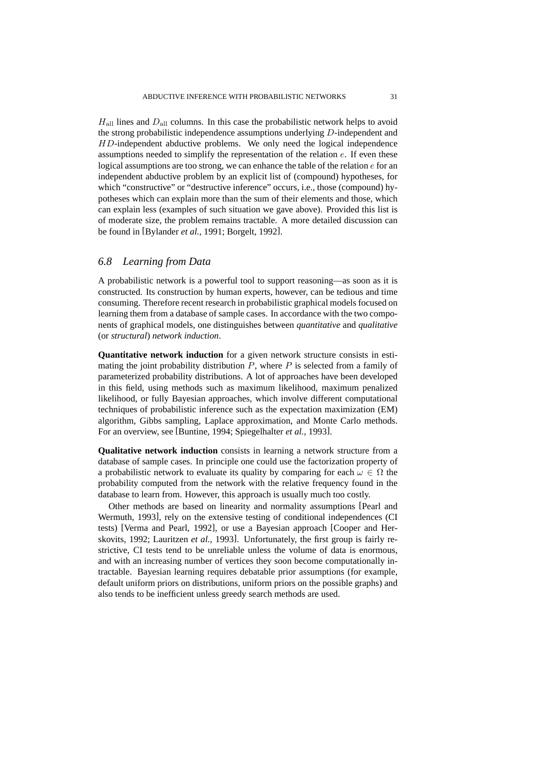$H_{\text{all}}$  lines and  $D_{\text{all}}$  columns. In this case the probabilistic network helps to avoid the strong probabilistic independence assumptions underlying D-independent and HD-independent abductive problems. We only need the logical independence assumptions needed to simplify the representation of the relation  $e$ . If even these logical assumptions are too strong, we can enhance the table of the relation  $e$  for an independent abductive problem by an explicit list of (compound) hypotheses, for which "constructive" or "destructive inference" occurs, *i.e.*, those (compound) hypotheses which can explain more than the sum of their elements and those, which can explain less (examples of such situation we gave above). Provided this list is of moderate size, the problem remains tractable. A more detailed discussion can be found in [Bylander *et al.*, 1991; Borgelt, 1992].

## *6.8 Learning from Data*

A probabilistic network is a powerful tool to support reasoning—as soon as it is constructed. Its construction by human experts, however, can be tedious and time consuming. Therefore recent research in probabilistic graphical models focused on learning them from a database of sample cases. In accordance with the two components of graphical models, one distinguishes between *quantitative* and *qualitative* (or *structural*) *network induction*.

**Quantitative network induction** for a given network structure consists in estimating the joint probability distribution  $P$ , where  $P$  is selected from a family of parameterized probability distributions. A lot of approaches have been developed in this field, using methods such as maximum likelihood, maximum penalized likelihood, or fully Bayesian approaches, which involve different computational techniques of probabilistic inference such as the expectation maximization (EM) algorithm, Gibbs sampling, Laplace approximation, and Monte Carlo methods. For an overview, see [Buntine, 1994; Spiegelhalter *et al.*, 1993].

**Qualitative network induction** consists in learning a network structure from a database of sample cases. In principle one could use the factorization property of a probabilistic network to evaluate its quality by comparing for each  $\omega \in \Omega$  the probability computed from the network with the relative frequency found in the database to learn from. However, this approach is usually much too costly.

Other methods are based on linearity and normality assumptions [Pearl and Wermuth, 1993], rely on the extensive testing of conditional independences (CI tests) [Verma and Pearl, 1992], or use a Bayesian approach [Cooper and Herskovits, 1992; Lauritzen *et al.*, 1993]. Unfortunately, the first group is fairly restrictive, CI tests tend to be unreliable unless the volume of data is enormous, and with an increasing number of vertices they soon become computationally intractable. Bayesian learning requires debatable prior assumptions (for example, default uniform priors on distributions, uniform priors on the possible graphs) and also tends to be inefficient unless greedy search methods are used.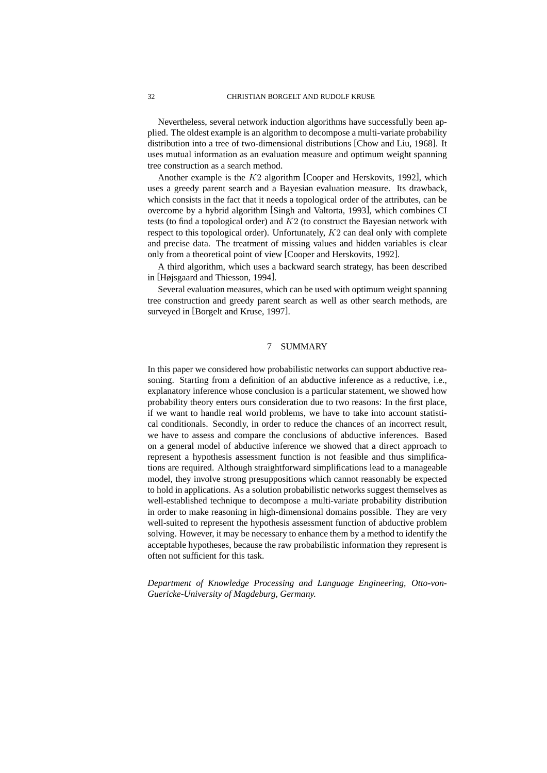Nevertheless, several network induction algorithms have successfully been applied. The oldest example is an algorithm to decompose a multi-variate probability distribution into a tree of two-dimensional distributions [Chow and Liu, 1968]. It uses mutual information as an evaluation measure and optimum weight spanning tree construction as a search method.

Another example is the  $K2$  algorithm [Cooper and Herskovits, 1992], which uses a greedy parent search and a Bayesian evaluation measure. Its drawback, which consists in the fact that it needs a topological order of the attributes, can be overcome by a hybrid algorithm [Singh and Valtorta, 1993], which combines CI tests (to find a topological order) and  $K2$  (to construct the Bayesian network with respect to this topological order). Unfortunately,  $K2$  can deal only with complete and precise data. The treatment of missing values and hidden variables is clear only from a theoretical point of view [Cooper and Herskovits, 1992].

A third algorithm, which uses a backward search strategy, has been described in [Højsgaard and Thiesson, 1994].

Several evaluation measures, which can be used with optimum weight spanning tree construction and greedy parent search as well as other search methods, are surveyed in [Borgelt and Kruse, 1997].

## 7 SUMMARY

In this paper we considered how probabilistic networks can support abductive reasoning. Starting from a definition of an abductive inference as a reductive, i.e., explanatory inference whose conclusion is a particular statement, we showed how probability theory enters ours consideration due to two reasons: In the first place, if we want to handle real world problems, we have to take into account statistical conditionals. Secondly, in order to reduce the chances of an incorrect result, we have to assess and compare the conclusions of abductive inferences. Based on a general model of abductive inference we showed that a direct approach to represent a hypothesis assessment function is not feasible and thus simplifications are required. Although straightforward simplifications lead to a manageable model, they involve strong presuppositions which cannot reasonably be expected to hold in applications. As a solution probabilistic networks suggest themselves as well-established technique to decompose a multi-variate probability distribution in order to make reasoning in high-dimensional domains possible. They are very well-suited to represent the hypothesis assessment function of abductive problem solving. However, it may be necessary to enhance them by a method to identify the acceptable hypotheses, because the raw probabilistic information they represent is often not sufficient for this task.

*Department of Knowledge Processing and Language Engineering, Otto-von-Guericke-University of Magdeburg, Germany.*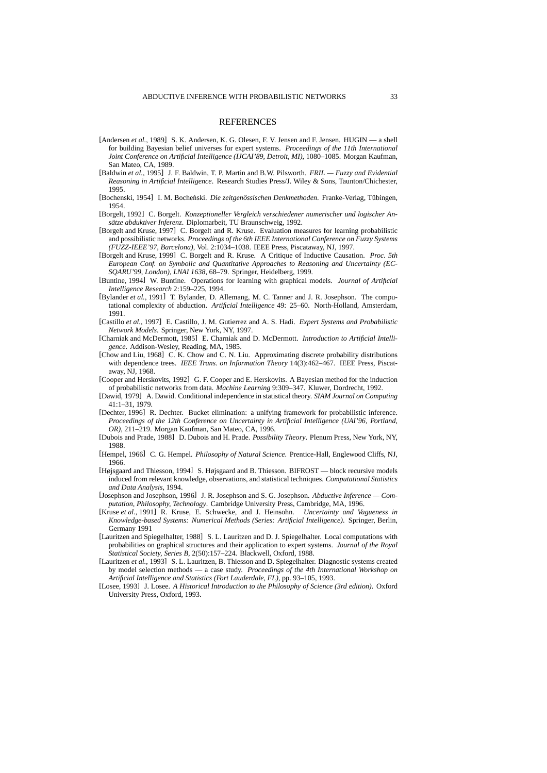#### **REFERENCES**

- [Andersen *et al.*, 1989] S. K. Andersen, K. G. Olesen, F. V. Jensen and F. Jensen. HUGIN a shell for building Bayesian belief universes for expert systems. *Proceedings of the 11th International Joint Conference on Artificial Intelligence (IJCAI'89, Detroit, MI)*, 1080–1085. Morgan Kaufman, San Mateo, CA, 1989.
- [Baldwin *et al.*, 1995] J. F. Baldwin, T. P. Martin and B.W. Pilsworth. *FRIL Fuzzy and Evidential Reasoning in Artificial Intelligence*. Research Studies Press/J. Wiley & Sons, Taunton/Chichester, 1995.
- [Bochenski, 1954] I. M. Bocheński. *Die zeitgenössischen Denkmethoden*. Franke-Verlag, Tübingen, 1954.
- [Borgelt, 1992] C. Borgelt. *Konzeptioneller Vergleich verschiedener numerischer und logischer An*sätze abduktiver Inferenz. Diplomarbeit, TU Braunschweig, 1992.
- [Borgelt and Kruse, 1997] C. Borgelt and R. Kruse. Evaluation measures for learning probabilistic and possibilistic networks. *Proceedings of the 6th IEEE International Conference on Fuzzy Systems (FUZZ-IEEE'97, Barcelona)*, Vol. 2:1034–1038. IEEE Press, Piscataway, NJ, 1997.
- [Borgelt and Kruse, 1999] C. Borgelt and R. Kruse. A Critique of Inductive Causation. *Proc. 5th European Conf. on Symbolic and Quantitative Approaches to Reasoning and Uncertainty (EC-SQARU'99, London), LNAI 1638*, 68–79. Springer, Heidelberg, 1999.
- [Buntine, 1994] W. Buntine. Operations for learning with graphical models. *Journal of Artificial Intelligence Research* 2:159–225, 1994.
- [Bylander *et al.*, 1991] T. Bylander, D. Allemang, M. C. Tanner and J. R. Josephson. The computational complexity of abduction. *Artificial Intelligence* 49: 25–60. North-Holland, Amsterdam, 1991.
- [Castillo *et al.*, 1997] E. Castillo, J. M. Gutierrez and A. S. Hadi. *Expert Systems and Probabilistic Network Models*. Springer, New York, NY, 1997.
- [Charniak and McDermott, 1985] E. Charniak and D. McDermott. *Introduction to Artificial Intelligence*. Addison-Wesley, Reading, MA, 1985.
- [Chow and Liu, 1968] C. K. Chow and C. N. Liu. Approximating discrete probability distributions with dependence trees. *IEEE Trans. on Information Theory* 14(3):462–467. IEEE Press, Piscataway, NJ, 1968.
- [Cooper and Herskovits, 1992] G. F. Cooper and E. Herskovits. A Bayesian method for the induction of probabilistic networks from data. *Machine Learning* 9:309–347. Kluwer, Dordrecht, 1992.
- [Dawid, 1979] A. Dawid. Conditional independence in statistical theory. *SIAM Journal on Computing* 41:1–31, 1979.
- [Dechter, 1996] R. Dechter. Bucket elimination: a unifying framework for probabilistic inference. *Proceedings of the 12th Conference on Uncertainty in Artificial Intelligence (UAI'96, Portland, OR)*, 211–219. Morgan Kaufman, San Mateo, CA, 1996.
- [Dubois and Prade, 1988] D. Dubois and H. Prade. *Possibility Theory*. Plenum Press, New York, NY, 1988.
- [Hempel, 1966] C. G. Hempel. *Philosophy of Natural Science*. Prentice-Hall, Englewood Cliffs, NJ, 1966.
- [Højsgaard and Thiesson, 1994] S. Højsgaard and B. Thiesson. BIFROST block recursive models induced from relevant knowledge, observations, and statistical techniques. *Computational Statistics and Data Analysis*, 1994.
- [Josephson and Josephson, 1996] J. R. Josephson and S. G. Josephson. *Abductive Inference Computation, Philosophy, Technology*. Cambridge University Press, Cambridge, MA, 1996.
- [Kruse *et al.*, 1991] R. Kruse, E. Schwecke, and J. Heinsohn. *Uncertainty and Vagueness in Knowledge-based Systems: Numerical Methods (Series: Artificial Intelligence)*. Springer, Berlin, Germany 1991
- [Lauritzen and Spiegelhalter, 1988] S. L. Lauritzen and D. J. Spiegelhalter. Local computations with probabilities on graphical structures and their application to expert systems. *Journal of the Royal Statistical Society, Series B*, 2(50):157–224. Blackwell, Oxford, 1988.
- [Lauritzen *et al.*, 1993] S. L. Lauritzen, B. Thiesson and D. Spiegelhalter. Diagnostic systems created by model selection methods — a case study. *Proceedings of the 4th International Workshop on Artificial Intelligence and Statistics (Fort Lauderdale, FL)*, pp. 93–105, 1993.
- [Losee, 1993] J. Losee. *A Historical Introduction to the Philosophy of Science (3rd edition)*. Oxford University Press, Oxford, 1993.